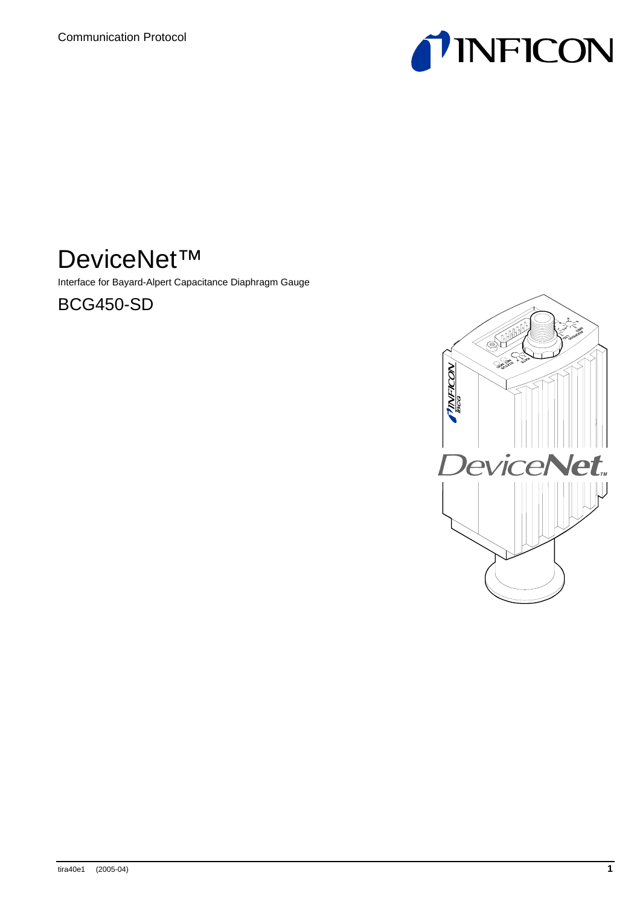

# DeviceNet™

Interface for Bayard-Alpert Capacitance Diaphragm Gauge

BCG450-SD

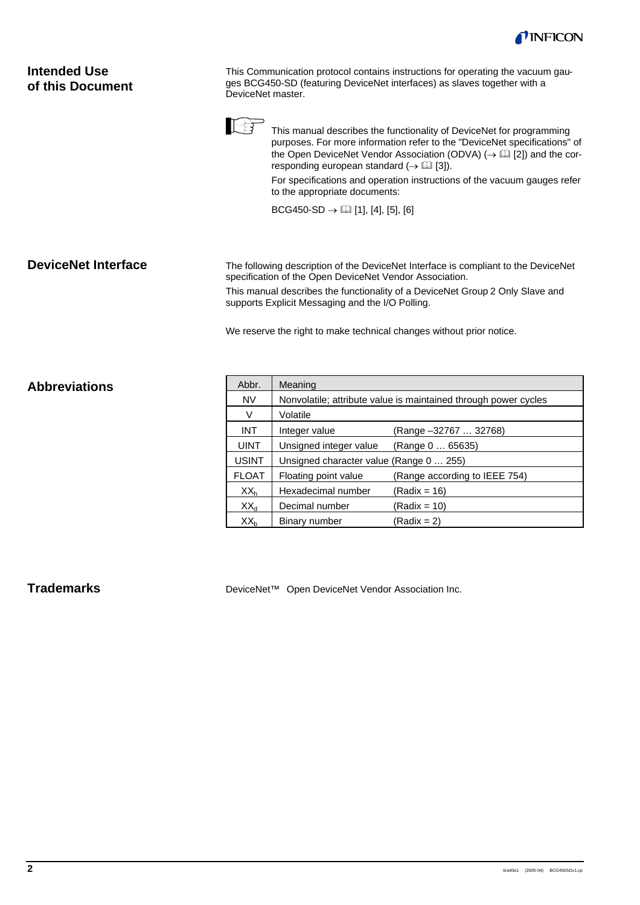

| <b>Intended Use</b><br>of this Document | This Communication protocol contains instructions for operating the vacuum gau-<br>ges BCG450-SD (featuring DeviceNet interfaces) as slaves together with a<br>DeviceNet master.                                                                                                                                                                                                                               |  |  |
|-----------------------------------------|----------------------------------------------------------------------------------------------------------------------------------------------------------------------------------------------------------------------------------------------------------------------------------------------------------------------------------------------------------------------------------------------------------------|--|--|
|                                         | This manual describes the functionality of DeviceNet for programming<br>purposes. For more information refer to the "DeviceNet specifications" of<br>the Open DeviceNet Vendor Association (ODVA) $(\rightarrow \Box$ [2]) and the cor-<br>responding european standard $(\rightarrow \Box$ [3]).<br>For specifications and operation instructions of the vacuum gauges refer<br>to the appropriate documents: |  |  |
|                                         | $BCG450-SD \rightarrow \Box$ [1], [4], [5], [6]                                                                                                                                                                                                                                                                                                                                                                |  |  |
|                                         |                                                                                                                                                                                                                                                                                                                                                                                                                |  |  |
| <b>DeviceNet Interface</b>              | The following description of the DeviceNet Interface is compliant to the DeviceNet<br>specification of the Open DeviceNet Vendor Association.                                                                                                                                                                                                                                                                  |  |  |
|                                         | This manual describes the functionality of a DeviceNet Group 2 Only Slave and<br>supports Explicit Messaging and the I/O Polling.                                                                                                                                                                                                                                                                              |  |  |
|                                         | We reserve the right to make technical changes without prior notice.                                                                                                                                                                                                                                                                                                                                           |  |  |
|                                         |                                                                                                                                                                                                                                                                                                                                                                                                                |  |  |
| <b>Abbreviations</b>                    | Abbr.<br>Meaning                                                                                                                                                                                                                                                                                                                                                                                               |  |  |
|                                         | N <sub>N</sub><br>Nonvolatile: attribute value is maintained through power cycles                                                                                                                                                                                                                                                                                                                              |  |  |

| Abbr.           | Meaning                                                         |                               |  |  |  |  |  |  |
|-----------------|-----------------------------------------------------------------|-------------------------------|--|--|--|--|--|--|
| <b>NV</b>       | Nonvolatile; attribute value is maintained through power cycles |                               |  |  |  |  |  |  |
| V               | Volatile                                                        |                               |  |  |  |  |  |  |
| <b>INT</b>      | Integer value                                                   | (Range -32767  32768)         |  |  |  |  |  |  |
| <b>UINT</b>     | Unsigned integer value                                          | (Range 0  65635)              |  |  |  |  |  |  |
| <b>USINT</b>    | Unsigned character value (Range 0  255)                         |                               |  |  |  |  |  |  |
| <b>FLOAT</b>    | Floating point value                                            | (Range according to IEEE 754) |  |  |  |  |  |  |
| XX <sub>h</sub> | Hexadecimal number                                              | (Radix = 16)                  |  |  |  |  |  |  |
| $XX_{d}$        | Decimal number                                                  | (Radix = 10)                  |  |  |  |  |  |  |
| $XX_{b}$        | Binary number                                                   | (Radix = 2)                   |  |  |  |  |  |  |

## **Trademarks**

DeviceNet™ Open DeviceNet Vendor Association Inc.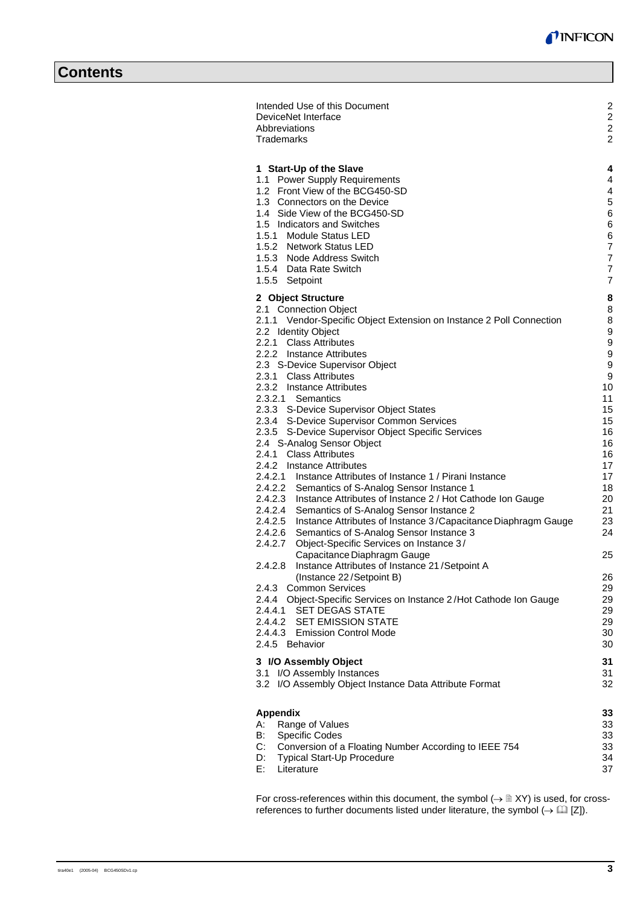| Intended Use of this Document<br>DeviceNet Interface<br>Abbreviations<br>Trademarks                                                                                                                                                                                                                                                                                                                                                                                                                                                                                                                                                                                                                                                                                                                                                                                                                                                                                                                                                                                                                                                                                                                                                                                                                                                                                                            | 2<br>2<br>2<br>$\overline{2}$                                                                                                                                                        |
|------------------------------------------------------------------------------------------------------------------------------------------------------------------------------------------------------------------------------------------------------------------------------------------------------------------------------------------------------------------------------------------------------------------------------------------------------------------------------------------------------------------------------------------------------------------------------------------------------------------------------------------------------------------------------------------------------------------------------------------------------------------------------------------------------------------------------------------------------------------------------------------------------------------------------------------------------------------------------------------------------------------------------------------------------------------------------------------------------------------------------------------------------------------------------------------------------------------------------------------------------------------------------------------------------------------------------------------------------------------------------------------------|--------------------------------------------------------------------------------------------------------------------------------------------------------------------------------------|
| 1 Start-Up of the Slave<br>1.1 Power Supply Requirements<br>1.2 Front View of the BCG450-SD<br>1.3 Connectors on the Device<br>1.4 Side View of the BCG450-SD<br>1.5 Indicators and Switches<br>1.5.1 Module Status LED<br>1.5.2 Network Status LED<br>1.5.3 Node Address Switch<br>1.5.4 Data Rate Switch<br>1.5.5 Setpoint                                                                                                                                                                                                                                                                                                                                                                                                                                                                                                                                                                                                                                                                                                                                                                                                                                                                                                                                                                                                                                                                   | 4<br>4<br>4<br>5<br>6<br>6<br>6<br>$\overline{7}$<br>$\overline{7}$<br>$\overline{7}$<br>$\overline{7}$                                                                              |
| 2 Object Structure<br>2.1 Connection Object<br>2.1.1 Vendor-Specific Object Extension on Instance 2 Poll Connection<br>2.2 Identity Object<br>2.2.1 Class Attributes<br>2.2.2 Instance Attributes<br>2.3 S-Device Supervisor Object<br>2.3.1 Class Attributes<br>2.3.2 Instance Attributes<br>2.3.2.1 Semantics<br>2.3.3 S-Device Supervisor Object States<br>2.3.4 S-Device Supervisor Common Services<br>2.3.5 S-Device Supervisor Object Specific Services<br>2.4 S-Analog Sensor Object<br>2.4.1 Class Attributes<br>2.4.2 Instance Attributes<br>2.4.2.1 Instance Attributes of Instance 1 / Pirani Instance<br>2.4.2.2 Semantics of S-Analog Sensor Instance 1<br>2.4.2.3 Instance Attributes of Instance 2 / Hot Cathode Ion Gauge<br>2.4.2.4 Semantics of S-Analog Sensor Instance 2<br>2.4.2.5 Instance Attributes of Instance 3/Capacitance Diaphragm Gauge<br>2.4.2.6<br>Semantics of S-Analog Sensor Instance 3<br>Object-Specific Services on Instance 3/<br>2.4.2.7<br>Capacitance Diaphragm Gauge<br>2.4.2.8<br>Instance Attributes of Instance 21/Setpoint A<br>(Instance 22/Setpoint B)<br><b>Common Services</b><br>2.4.3<br>2.4.4 Object-Specific Services on Instance 2/Hot Cathode Ion Gauge<br><b>SET DEGAS STATE</b><br>2.4.4.1<br>2.4.4.2 SET EMISSION STATE<br>2.4.4.3 Emission Control Mode<br>2.4.5 Behavior<br>3 I/O Assembly Object<br>3.1 I/O Assembly Instances | 8<br>8<br>8<br>9<br>9<br>9<br>9<br>9<br>10<br>11<br>15<br>15<br>16<br>16<br>16<br>17<br>17<br>18<br>20<br>21<br>23<br>24<br>25<br>26<br>29<br>29<br>29<br>29<br>30<br>30<br>31<br>31 |
| 3.2 I/O Assembly Object Instance Data Attribute Format<br><b>Appendix</b><br>Range of Values<br>А:<br>B:<br><b>Specific Codes</b><br>C:<br>Conversion of a Floating Number According to IEEE 754<br>Typical Start-Up Procedure<br>D:                                                                                                                                                                                                                                                                                                                                                                                                                                                                                                                                                                                                                                                                                                                                                                                                                                                                                                                                                                                                                                                                                                                                                           | 32<br>33<br>33<br>33<br>33<br>34                                                                                                                                                     |
| Е.<br>Literature                                                                                                                                                                                                                                                                                                                                                                                                                                                                                                                                                                                                                                                                                                                                                                                                                                                                                                                                                                                                                                                                                                                                                                                                                                                                                                                                                                               | 37                                                                                                                                                                                   |

For cross-references within this document, the symbol  $(\rightarrow \mathbb{B} XY)$  is used, for crossreferences to further documents listed under literature, the symbol  $(\rightarrow \Box \Box)$ .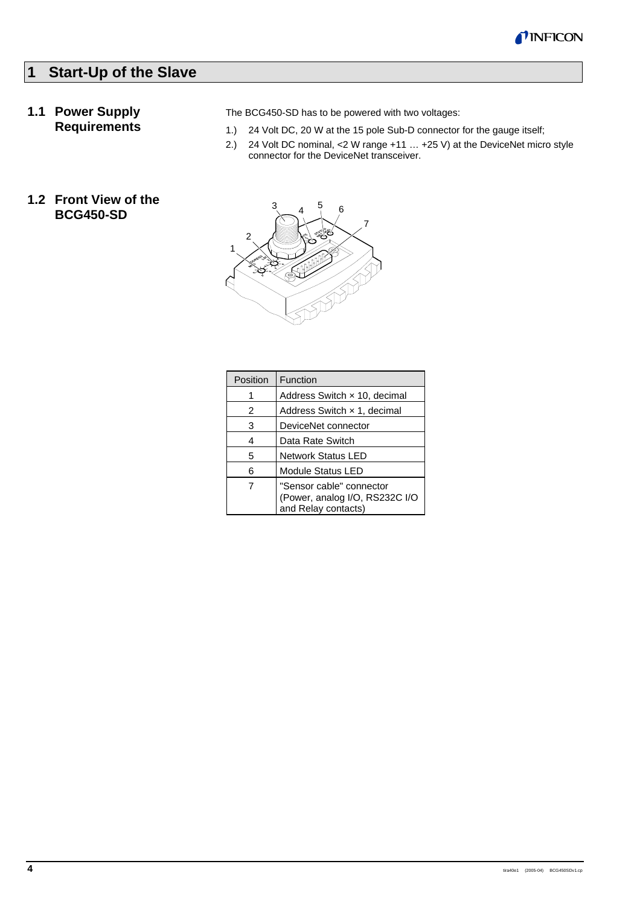

## **1 Start-Up of the Slave**

## **1.1 Power Supply Requirements**

**1.2 Front View of the BCG450-SD**

The BCG450-SD has to be powered with two voltages:

- 1.) 24 Volt DC, 20 W at the 15 pole Sub-D connector for the gauge itself;
- 2.) 24 Volt DC nominal, <2 W range +11 … +25 V) at the DeviceNet micro style connector for the DeviceNet transceiver.



| Position | Function                                                                          |  |  |  |
|----------|-----------------------------------------------------------------------------------|--|--|--|
|          | Address Switch x 10, decimal                                                      |  |  |  |
| 2        | Address Switch x 1, decimal                                                       |  |  |  |
| 3        | DeviceNet connector                                                               |  |  |  |
| 4        | Data Rate Switch                                                                  |  |  |  |
| 5        | <b>Network Status LED</b>                                                         |  |  |  |
| 6        | <b>Module Status LED</b>                                                          |  |  |  |
| 7        | "Sensor cable" connector<br>(Power, analog I/O, RS232C I/O<br>and Relay contacts) |  |  |  |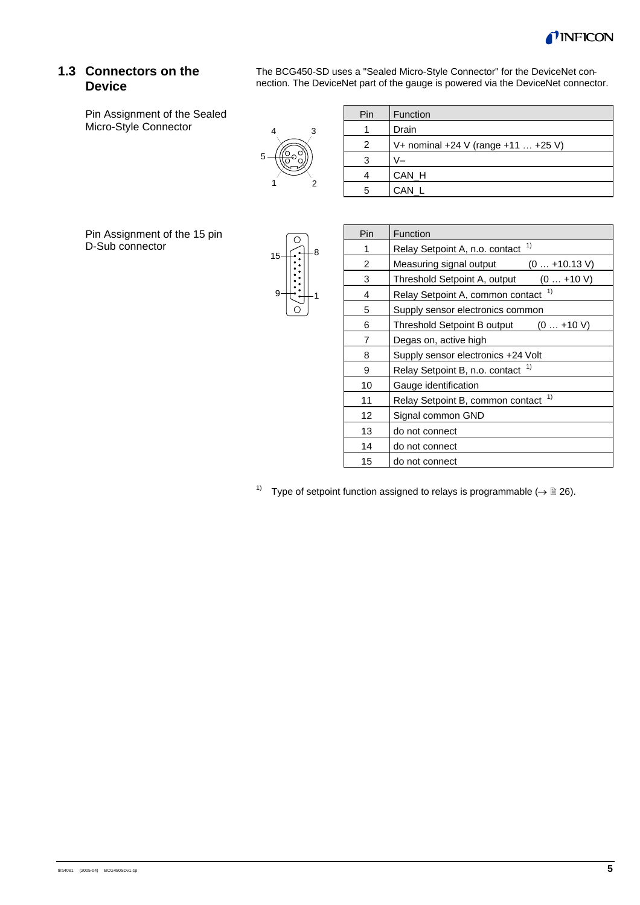

## **1.3 Connectors on the Device**

Pin Assignment of the Sealed Micro-Style Connector

The BCG450-SD uses a "Sealed Micro-Style Connector" for the DeviceNet connection. The DeviceNet part of the gauge is powered via the DeviceNet connector.



| Pin | Function                            |
|-----|-------------------------------------|
|     | Drain                               |
| 2   | V+ nominal +24 V (range +11  +25 V) |
| 3   |                                     |
|     | CAN_H                               |
|     | CAN                                 |

Pin Assignment of the 15 pin D-Sub connector



| Pin | Function                                   |  |  |  |  |  |  |
|-----|--------------------------------------------|--|--|--|--|--|--|
| 1   | 1)<br>Relay Setpoint A, n.o. contact       |  |  |  |  |  |  |
| 2   | Measuring signal output<br>$(0+10.13 V)$   |  |  |  |  |  |  |
| 3   | Threshold Setpoint A, output<br>$(0+10 V)$ |  |  |  |  |  |  |
| 4   | 1)<br>Relay Setpoint A, common contact     |  |  |  |  |  |  |
| 5   | Supply sensor electronics common           |  |  |  |  |  |  |
| 6   | Threshold Setpoint B output<br>$(0+10 V)$  |  |  |  |  |  |  |
| 7   | Degas on, active high                      |  |  |  |  |  |  |
| 8   | Supply sensor electronics +24 Volt         |  |  |  |  |  |  |
| 9   | 1)<br>Relay Setpoint B, n.o. contact       |  |  |  |  |  |  |
| 10  | Gauge identification                       |  |  |  |  |  |  |
| 11  | 1)<br>Relay Setpoint B, common contact     |  |  |  |  |  |  |
| 12  | Signal common GND                          |  |  |  |  |  |  |
| 13  | do not connect                             |  |  |  |  |  |  |
| 14  | do not connect                             |  |  |  |  |  |  |
| 15  | do not connect                             |  |  |  |  |  |  |

1) Type of setpoint function assigned to relays is programmable  $(\rightarrow \Box 26)$ .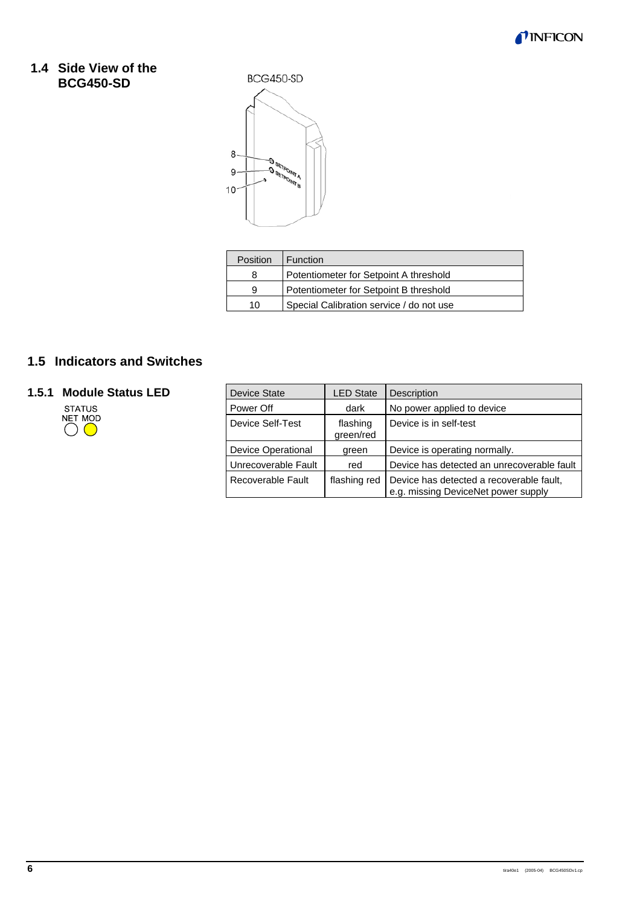

## **1.4 Side View of the BCG450-SD**

BCG450-SD



| Position | <b>Function</b>                          |
|----------|------------------------------------------|
| 8        | Potentiometer for Setpoint A threshold   |
| 9        | Potentiometer for Setpoint B threshold   |
| 10       | Special Calibration service / do not use |

## **1.5 Indicators and Switches**

# **1.5.1 Module Status LED**<br>STATUS<br>NET MOD<br>O



| <b>Device State</b>       | <b>LED State</b>      | Description                                                                     |  |
|---------------------------|-----------------------|---------------------------------------------------------------------------------|--|
| Power Off                 | dark                  | No power applied to device                                                      |  |
| Device Self-Test          | flashing<br>green/red | Device is in self-test                                                          |  |
| <b>Device Operational</b> | green                 | Device is operating normally.                                                   |  |
| Unrecoverable Fault       | red                   | Device has detected an unrecoverable fault                                      |  |
| Recoverable Fault         | flashing red          | Device has detected a recoverable fault,<br>e.g. missing DeviceNet power supply |  |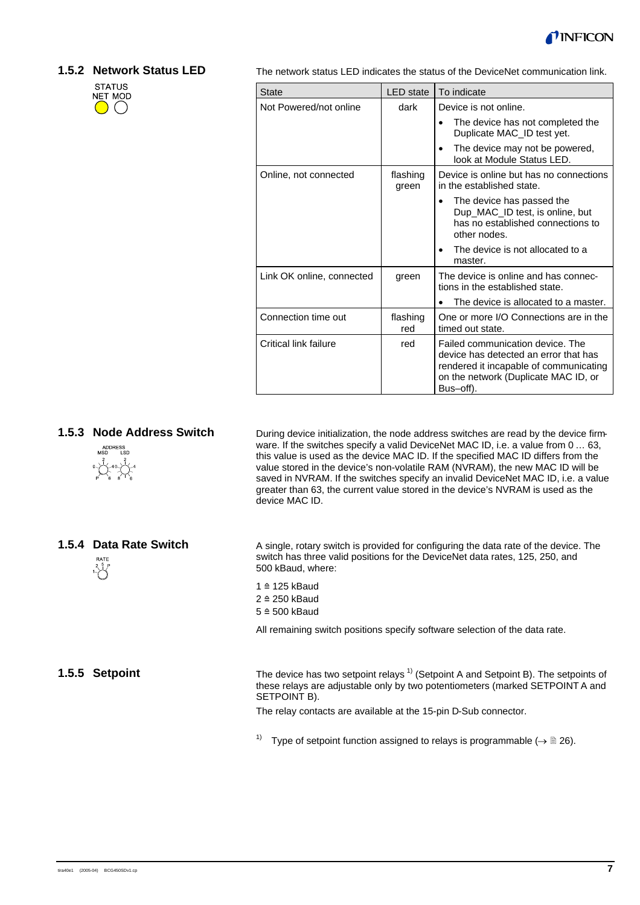

#### **1.5.2 Network Status LED**



The network status LED indicates the status of the DeviceNet communication link.

| <b>State</b>              | <b>LED</b> state  | To indicate                                                                                                                                                              |
|---------------------------|-------------------|--------------------------------------------------------------------------------------------------------------------------------------------------------------------------|
| Not Powered/not online    | dark              | Device is not online.                                                                                                                                                    |
|                           |                   | The device has not completed the<br>Duplicate MAC_ID test yet.                                                                                                           |
|                           |                   | The device may not be powered,<br>look at Module Status LED.                                                                                                             |
| Online, not connected     | flashing<br>green | Device is online but has no connections<br>in the established state.                                                                                                     |
|                           |                   | The device has passed the<br>Dup_MAC_ID test, is online, but<br>has no established connections to<br>other nodes.                                                        |
|                           |                   | The device is not allocated to a<br>master.                                                                                                                              |
| Link OK online, connected | green             | The device is online and has connec-<br>tions in the established state.                                                                                                  |
|                           |                   | The device is allocated to a master.                                                                                                                                     |
| Connection time out       | flashing<br>red   | One or more I/O Connections are in the<br>timed out state.                                                                                                               |
| Critical link failure     | red               | Failed communication device. The<br>device has detected an error that has<br>rendered it incapable of communicating<br>on the network (Duplicate MAC ID, or<br>Bus-off). |

#### **1.5.3 Node Address Switch**



**1.5.4 Data Rate Switch**

During device initialization, the node address switches are read by the device firmware. If the switches specify a valid DeviceNet MAC ID, i.e. a value from 0 ... 63, this value is used as the device MAC ID. If the specified MAC ID differs from the value stored in the device's non-volatile RAM (NVRAM), the new MAC ID will be saved in NVRAM. If the switches specify an invalid DeviceNet MAC ID, i.e. a value greater than 63, the current value stored in the device's NVRAM is used as the device MAC ID.

A single, rotary switch is provided for configuring the data rate of the device. The switch has three valid positions for the DeviceNet data rates, 125, 250, and 500 kBaud, where:

1 <sup>≙</sup> 125 kBaud 2 <sup>≙</sup> 250 kBaud  $5 \triangleq 500$  kBaud

All remaining switch positions specify software selection of the data rate.

The device has two setpoint relays  $1$ <sup>)</sup> (Setpoint A and Setpoint B). The setpoints of these relays are adjustable only by two potentiometers (marked SETPOINT A and SETPOINT B).

The relay contacts are available at the 15-pin D-Sub connector.

<sup>1)</sup> Type of setpoint function assigned to relays is programmable ( $\rightarrow \mathbb{B}$  26).

**1.5.5 Setpoint**

 $\sqrt[2]{\frac{5}{1}}$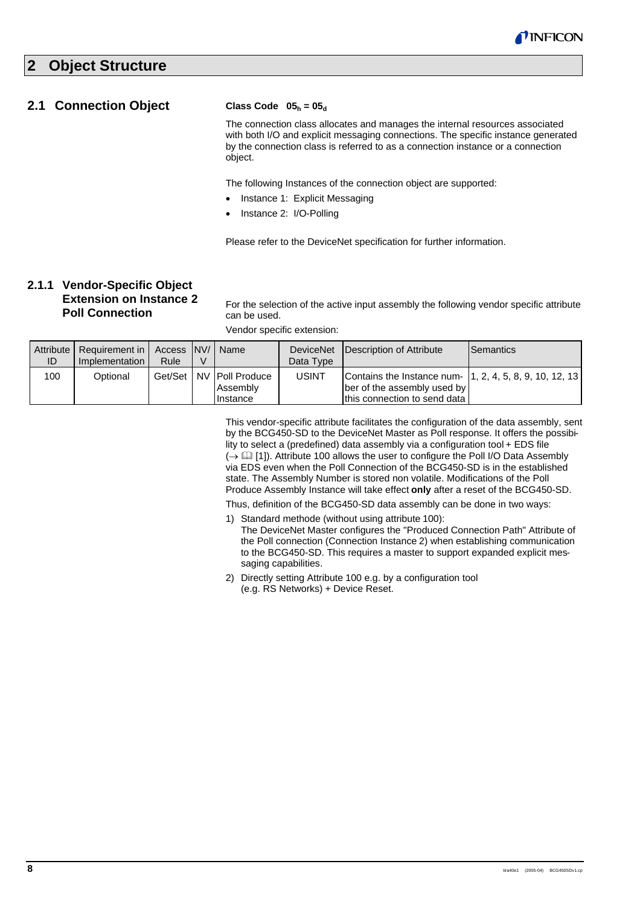## **2 Object Structure**

## **2.1 Connection Object**

#### **Class Code**  $05_h = 05_d$

The connection class allocates and manages the internal resources associated with both I/O and explicit messaging connections. The specific instance generated by the connection class is referred to as a connection instance or a connection object.

The following Instances of the connection object are supported:

- Instance 1: Explicit Messaging
- Instance 2: I/O-Polling

Please refer to the DeviceNet specification for further information.

## **2.1.1 Vendor-Specific Object Extension on Instance 2 Poll Connection**

For the selection of the active input assembly the following vendor specific attribute can be used.

Vendor specific extension:

saging capabilities.

| Attribute  <br>ID | Requirement in   Access   NV/  <br>Implementation I | Rule | Name                                                 | Data Type | DeviceNet Description of Attribute                                                                                     | <b>Semantics</b> |
|-------------------|-----------------------------------------------------|------|------------------------------------------------------|-----------|------------------------------------------------------------------------------------------------------------------------|------------------|
| 100               | Optional                                            |      | Get/Set   NV   Poll Produce<br>Assembly<br>IInstance | USINT     | Contains the Instance num- 1, 2, 4, 5, 8, 9, 10, 12, 13<br>ber of the assembly used by<br>this connection to send data |                  |

This vendor-specific attribute facilitates the configuration of the data assembly, sent by the BCG450-SD to the DeviceNet Master as Poll response. It offers the possibility to select a (predefined) data assembly via a configuration tool + EDS file  $\mapsto$   $\Box$  [1]). Attribute 100 allows the user to configure the Poll I/O Data Assembly via EDS even when the Poll Connection of the BCG450-SD is in the established state. The Assembly Number is stored non volatile. Modifications of the Poll Produce Assembly Instance will take effect **only** after a reset of the BCG450-SD.

Thus, definition of the BCG450-SD data assembly can be done in two ways:

- 1) Standard methode (without using attribute 100): The DeviceNet Master configures the "Produced Connection Path" Attribute of the Poll connection (Connection Instance 2) when establishing communication to the BCG450-SD. This requires a master to support expanded explicit mes-
- 2) Directly setting Attribute 100 e.g. by a configuration tool (e.g. RS Networks) + Device Reset.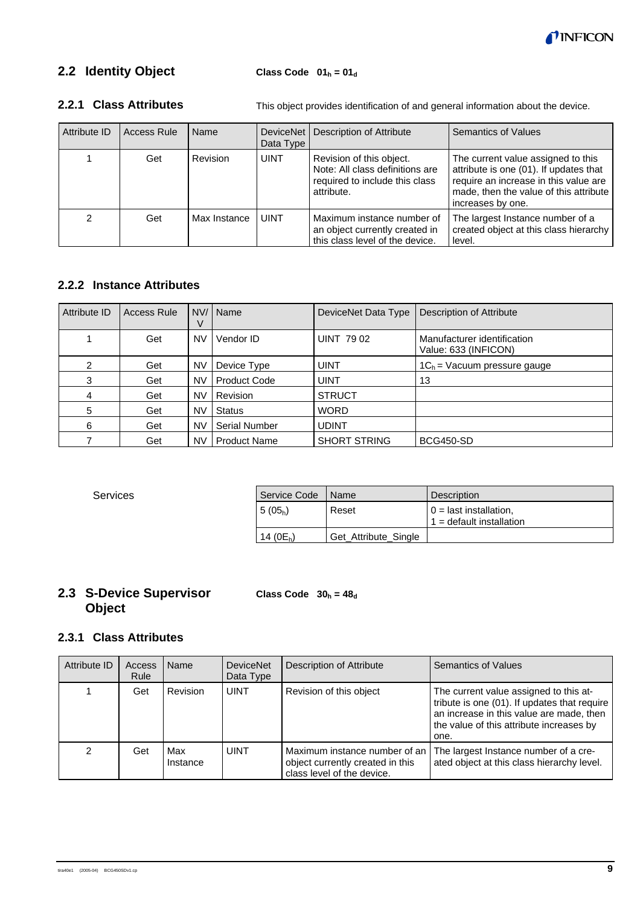

## **2.2 Identity Object**

| Attribute ID | <b>Access Rule</b> | Name            | DeviceNet<br>Data Type | Description of Attribute                                                                                    | <b>Semantics of Values</b>                                                                                                                                                           |
|--------------|--------------------|-----------------|------------------------|-------------------------------------------------------------------------------------------------------------|--------------------------------------------------------------------------------------------------------------------------------------------------------------------------------------|
|              | Get                | <b>Revision</b> | <b>UINT</b>            | Revision of this object.<br>Note: All class definitions are<br>required to include this class<br>attribute. | The current value assigned to this<br>attribute is one (01). If updates that<br>require an increase in this value are<br>made, then the value of this attribute<br>increases by one. |
|              | Get                | Max Instance    | <b>UINT</b>            | Maximum instance number of<br>an object currently created in<br>this class level of the device.             | The largest Instance number of a<br>created object at this class hierarchy<br>level.                                                                                                 |

#### This object provides identification of and general information about the device. **2.2.1 Class Attributes**

## **2.2.2 Instance Attributes**

| Attribute ID | Access Rule |           | NV/   Name           | DeviceNet Data Type | Description of Attribute                            |
|--------------|-------------|-----------|----------------------|---------------------|-----------------------------------------------------|
|              | Get         | <b>NV</b> | Vendor ID            | <b>UINT 7902</b>    | Manufacturer identification<br>Value: 633 (INFICON) |
| 2            | Get         | NV        | Device Type          | <b>UINT</b>         | $1C_h$ = Vacuum pressure gauge                      |
| 3            | Get         | NV        | <b>Product Code</b>  | <b>UINT</b>         | 13                                                  |
| 4            | Get         | <b>NV</b> | Revision             | <b>STRUCT</b>       |                                                     |
| 5            | Get         | <b>NV</b> | <b>Status</b>        | <b>WORD</b>         |                                                     |
| 6            | Get         | <b>NV</b> | <b>Serial Number</b> | <b>UDINT</b>        |                                                     |
|              | Get         | NV        | <b>Product Name</b>  | <b>SHORT STRING</b> | <b>BCG450-SD</b>                                    |

Services

| Service Code  | I Name               | <b>Description</b>                                     |
|---------------|----------------------|--------------------------------------------------------|
| $15(05_h)$    | Reset                | $0 =$ last installation,<br>$1 =$ default installation |
| 14 ( $0E_h$ ) | Get Attribute Single |                                                        |

## **2.3 S-Device Supervisor Object**

**Class Code**  $30_h = 48_d$ 

## **2.3.1 Class Attributes**

| Attribute ID | Access<br>Rule | Name            | <b>DeviceNet</b><br>Data Type | Description of Attribute                                                                        | <b>Semantics of Values</b>                                                                                                                                                             |
|--------------|----------------|-----------------|-------------------------------|-------------------------------------------------------------------------------------------------|----------------------------------------------------------------------------------------------------------------------------------------------------------------------------------------|
|              | Get            | Revision        | <b>UINT</b>                   | Revision of this object                                                                         | The current value assigned to this at-<br>tribute is one (01). If updates that require<br>an increase in this value are made, then<br>the value of this attribute increases by<br>one. |
| 2            | Get            | Max<br>Instance | <b>UINT</b>                   | Maximum instance number of an<br>object currently created in this<br>class level of the device. | The largest Instance number of a cre-<br>ated object at this class hierarchy level.                                                                                                    |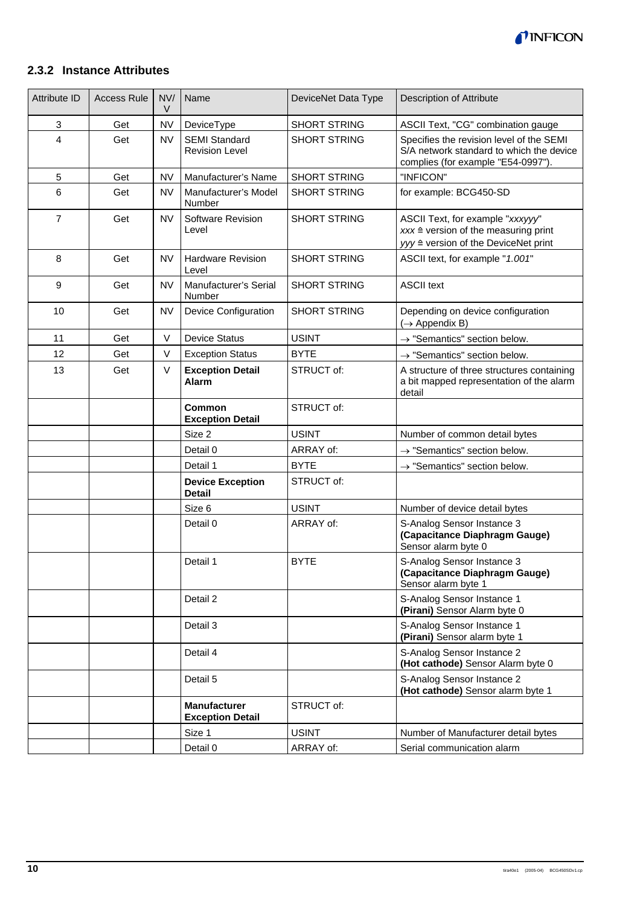

## **2.3.2 Instance Attributes**

| <b>Attribute ID</b> | <b>Access Rule</b> | NV/<br>V  | Name                                           | DeviceNet Data Type | <b>Description of Attribute</b>                                                                                             |
|---------------------|--------------------|-----------|------------------------------------------------|---------------------|-----------------------------------------------------------------------------------------------------------------------------|
| 3                   | Get                | <b>NV</b> | DeviceType                                     | <b>SHORT STRING</b> | ASCII Text, "CG" combination gauge                                                                                          |
| $\overline{4}$      | Get                | <b>NV</b> | <b>SEMI Standard</b><br><b>Revision Level</b>  | <b>SHORT STRING</b> | Specifies the revision level of the SEMI<br>S/A network standard to which the device<br>complies (for example "E54-0997").  |
| 5                   | Get                | <b>NV</b> | Manufacturer's Name                            | <b>SHORT STRING</b> | "INFICON"                                                                                                                   |
| 6                   | Get                | <b>NV</b> | Manufacturer's Model<br>Number                 | <b>SHORT STRING</b> | for example: BCG450-SD                                                                                                      |
| $\overline{7}$      | Get                | <b>NV</b> | Software Revision<br>Level                     | <b>SHORT STRING</b> | ASCII Text, for example "xxxyyy"<br>$xxx \triangleq$ version of the measuring print<br>yyy ≙ version of the DeviceNet print |
| 8                   | Get                | <b>NV</b> | <b>Hardware Revision</b><br>Level              | <b>SHORT STRING</b> | ASCII text, for example "1.001"                                                                                             |
| 9                   | Get                | <b>NV</b> | Manufacturer's Serial<br>Number                | SHORT STRING        | <b>ASCII text</b>                                                                                                           |
| 10                  | Get                | <b>NV</b> | Device Configuration                           | <b>SHORT STRING</b> | Depending on device configuration<br>$(\rightarrow$ Appendix B)                                                             |
| 11                  | Get                | V         | <b>Device Status</b>                           | <b>USINT</b>        | $\rightarrow$ "Semantics" section below.                                                                                    |
| 12                  | Get                | V         | <b>Exception Status</b>                        | <b>BYTE</b>         | $\rightarrow$ "Semantics" section below.                                                                                    |
| 13                  | Get                | V         | <b>Exception Detail</b><br><b>Alarm</b>        | STRUCT of:          | A structure of three structures containing<br>a bit mapped representation of the alarm<br>detail                            |
|                     |                    |           | Common<br><b>Exception Detail</b>              | STRUCT of:          |                                                                                                                             |
|                     |                    |           | Size 2                                         | <b>USINT</b>        | Number of common detail bytes                                                                                               |
|                     |                    |           | Detail 0                                       | ARRAY of:           | $\rightarrow$ "Semantics" section below.                                                                                    |
|                     |                    |           | Detail 1                                       | <b>BYTE</b>         | $\rightarrow$ "Semantics" section below.                                                                                    |
|                     |                    |           | <b>Device Exception</b><br><b>Detail</b>       | STRUCT of:          |                                                                                                                             |
|                     |                    |           | Size 6                                         | <b>USINT</b>        | Number of device detail bytes                                                                                               |
|                     |                    |           | Detail 0                                       | ARRAY of:           | S-Analog Sensor Instance 3<br>(Capacitance Diaphragm Gauge)<br>Sensor alarm byte 0                                          |
|                     |                    |           | Detail 1                                       | <b>BYTE</b>         | S-Analog Sensor Instance 3<br>(Capacitance Diaphragm Gauge)<br>Sensor alarm byte 1                                          |
|                     |                    |           | Detail 2                                       |                     | S-Analog Sensor Instance 1<br>(Pirani) Sensor Alarm byte 0                                                                  |
|                     |                    |           | Detail 3                                       |                     | S-Analog Sensor Instance 1<br>(Pirani) Sensor alarm byte 1                                                                  |
|                     |                    |           | Detail 4                                       |                     | S-Analog Sensor Instance 2<br>(Hot cathode) Sensor Alarm byte 0                                                             |
|                     |                    |           | Detail 5                                       |                     | S-Analog Sensor Instance 2<br>(Hot cathode) Sensor alarm byte 1                                                             |
|                     |                    |           | <b>Manufacturer</b><br><b>Exception Detail</b> | STRUCT of:          |                                                                                                                             |
|                     |                    |           | Size 1                                         | <b>USINT</b>        | Number of Manufacturer detail bytes                                                                                         |
|                     |                    |           | Detail 0                                       | ARRAY of:           | Serial communication alarm                                                                                                  |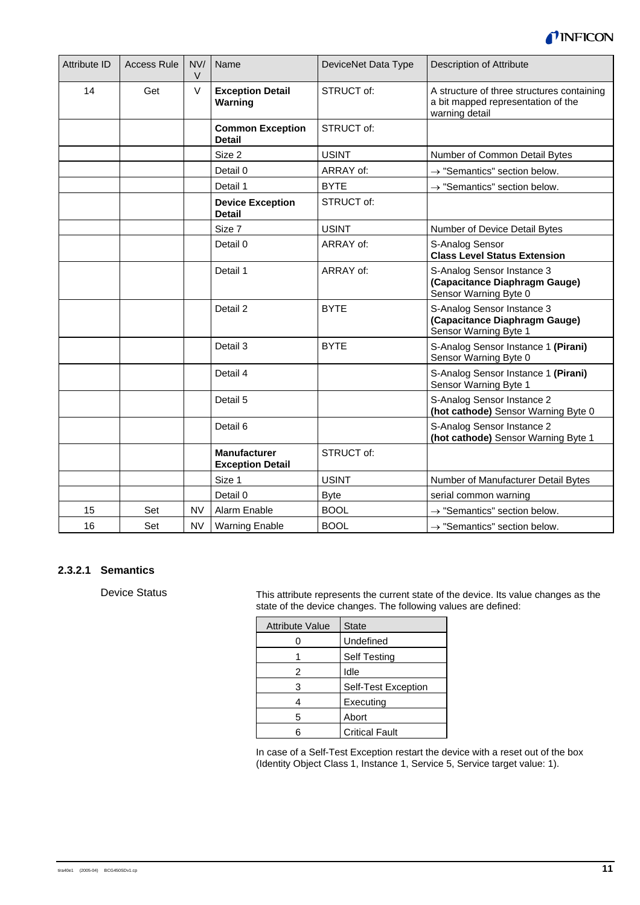

| <b>Attribute ID</b> | <b>Access Rule</b> | NVI<br>$\vee$ | Name                                           | DeviceNet Data Type | <b>Description of Attribute</b>                                                                    |
|---------------------|--------------------|---------------|------------------------------------------------|---------------------|----------------------------------------------------------------------------------------------------|
| 14                  | Get                | V             | <b>Exception Detail</b><br>Warning             | STRUCT of:          | A structure of three structures containing<br>a bit mapped representation of the<br>warning detail |
|                     |                    |               | <b>Common Exception</b><br><b>Detail</b>       | STRUCT of:          |                                                                                                    |
|                     |                    |               | Size 2                                         | <b>USINT</b>        | Number of Common Detail Bytes                                                                      |
|                     |                    |               | Detail 0                                       | ARRAY of:           | $\rightarrow$ "Semantics" section below.                                                           |
|                     |                    |               | Detail 1                                       | <b>BYTE</b>         | $\rightarrow$ "Semantics" section below.                                                           |
|                     |                    |               | <b>Device Exception</b><br><b>Detail</b>       | STRUCT of:          |                                                                                                    |
|                     |                    |               | Size 7                                         | <b>USINT</b>        | Number of Device Detail Bytes                                                                      |
|                     |                    |               | Detail 0                                       | ARRAY of:           | S-Analog Sensor<br><b>Class Level Status Extension</b>                                             |
|                     |                    |               | Detail 1                                       | ARRAY of:           | S-Analog Sensor Instance 3<br>(Capacitance Diaphragm Gauge)<br>Sensor Warning Byte 0               |
|                     |                    |               | Detail 2                                       | <b>BYTE</b>         | S-Analog Sensor Instance 3<br>(Capacitance Diaphragm Gauge)<br>Sensor Warning Byte 1               |
|                     |                    |               | Detail 3                                       | <b>BYTE</b>         | S-Analog Sensor Instance 1 (Pirani)<br>Sensor Warning Byte 0                                       |
|                     |                    |               | Detail 4                                       |                     | S-Analog Sensor Instance 1 (Pirani)<br>Sensor Warning Byte 1                                       |
|                     |                    |               | Detail 5                                       |                     | S-Analog Sensor Instance 2<br>(hot cathode) Sensor Warning Byte 0                                  |
|                     |                    |               | Detail 6                                       |                     | S-Analog Sensor Instance 2<br>(hot cathode) Sensor Warning Byte 1                                  |
|                     |                    |               | <b>Manufacturer</b><br><b>Exception Detail</b> | STRUCT of:          |                                                                                                    |
|                     |                    |               | Size 1                                         | <b>USINT</b>        | Number of Manufacturer Detail Bytes                                                                |
|                     |                    |               | Detail 0                                       | <b>Byte</b>         | serial common warning                                                                              |
| 15                  | Set                | <b>NV</b>     | Alarm Enable                                   | <b>BOOL</b>         | $\rightarrow$ "Semantics" section below.                                                           |
| 16                  | Set                | <b>NV</b>     | <b>Warning Enable</b>                          | <b>BOOL</b>         | $\rightarrow$ "Semantics" section below.                                                           |

#### **2.3.2.1 Semantics**

Device Status

This attribute represents the current state of the device. Its value changes as the state of the device changes. The following values are defined:

| <b>Attribute Value</b> | <b>State</b>          |
|------------------------|-----------------------|
|                        | Undefined             |
|                        | <b>Self Testing</b>   |
| 2                      | Idle                  |
| 3                      | Self-Test Exception   |
|                        | Executing             |
| 5                      | Abort                 |
|                        | <b>Critical Fault</b> |

In case of a Self-Test Exception restart the device with a reset out of the box (Identity Object Class 1, Instance 1, Service 5, Service target value: 1).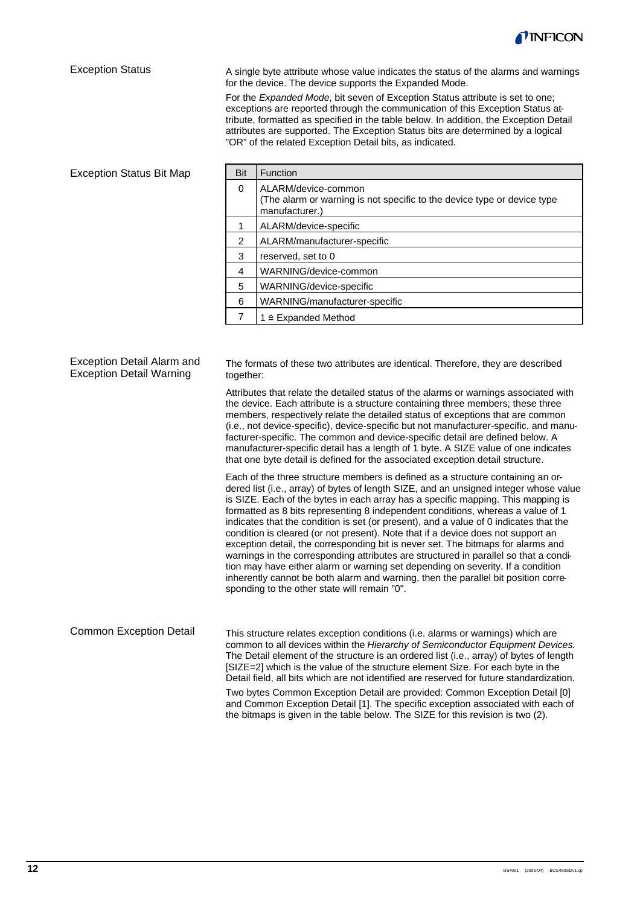

#### Exception Status

A single byte attribute whose value indicates the status of the alarms and warnings for the device. The device supports the Expanded Mode.

For the *Expanded Mode*, bit seven of Exception Status attribute is set to one; exceptions are reported through the communication of this Exception Status attribute, formatted as specified in the table below. In addition, the Exception Detail attributes are supported. The Exception Status bits are determined by a logical "OR" of the related Exception Detail bits, as indicated.

#### Exception Status Bit Map

Exception Detail Alarm and Exception Detail Warning

| Bit | <b>Function</b>                                                                                                  |  |  |  |  |
|-----|------------------------------------------------------------------------------------------------------------------|--|--|--|--|
| 0   | ALARM/device-common<br>(The alarm or warning is not specific to the device type or device type<br>manufacturer.) |  |  |  |  |
|     | ALARM/device-specific                                                                                            |  |  |  |  |
| 2   | ALARM/manufacturer-specific                                                                                      |  |  |  |  |
| 3   | reserved, set to 0                                                                                               |  |  |  |  |
| 4   | WARNING/device-common                                                                                            |  |  |  |  |
| 5   | WARNING/device-specific                                                                                          |  |  |  |  |
| 6   | WARNING/manufacturer-specific                                                                                    |  |  |  |  |
|     | $1 \triangleq$ Expanded Method                                                                                   |  |  |  |  |

The formats of these two attributes are identical. Therefore, they are described together:

Attributes that relate the detailed status of the alarms or warnings associated with the device. Each attribute is a structure containing three members; these three members, respectively relate the detailed status of exceptions that are common (i.e., not device-specific), device-specific but not manufacturer-specific, and manufacturer-specific. The common and device-specific detail are defined below. A manufacturer-specific detail has a length of 1 byte. A SIZE value of one indicates that one byte detail is defined for the associated exception detail structure.

Each of the three structure members is defined as a structure containing an ordered list (i.e., array) of bytes of length SIZE, and an unsigned integer whose value is SIZE. Each of the bytes in each array has a specific mapping. This mapping is formatted as 8 bits representing 8 independent conditions, whereas a value of 1 indicates that the condition is set (or present), and a value of 0 indicates that the condition is cleared (or not present). Note that if a device does not support an exception detail, the corresponding bit is never set. The bitmaps for alarms and warnings in the corresponding attributes are structured in parallel so that a condition may have either alarm or warning set depending on severity. If a condition inherently cannot be both alarm and warning, then the parallel bit position corresponding to the other state will remain "0".

This structure relates exception conditions (i.e. alarms or warnings) which are common to all devices within the *Hierarchy of Semiconductor Equipment Devices*. The Detail element of the structure is an ordered list (i.e., array) of bytes of length [SIZE=2] which is the value of the structure element Size. For each byte in the Detail field, all bits which are not identified are reserved for future standardization. Two bytes Common Exception Detail are provided: Common Exception Detail [0] Common Exception Detail

and Common Exception Detail [1]. The specific exception associated with each of the bitmaps is given in the table below. The SIZE for this revision is two (2).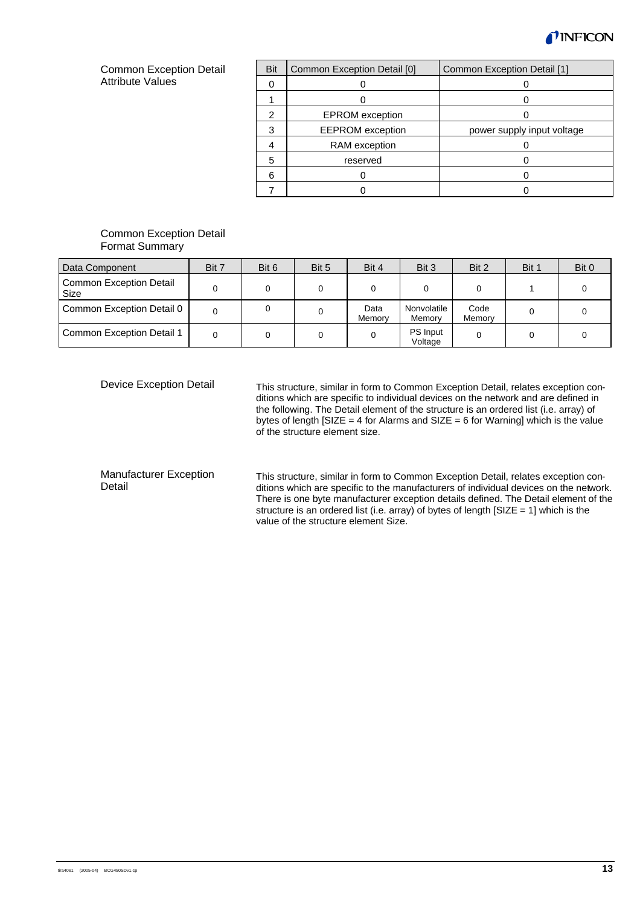

#### Common Exception Detail **Attribute Values**

| Bit | Common Exception Detail [0] | Common Exception Detail [1] |
|-----|-----------------------------|-----------------------------|
|     |                             |                             |
|     |                             |                             |
| 2   | <b>EPROM</b> exception      |                             |
| 3   | <b>EEPROM</b> exception     | power supply input voltage  |
|     | RAM exception               |                             |
| 5   | reserved                    |                             |
| 6   |                             |                             |
|     |                             |                             |

#### Common Exception Detail Format Summary

| Data Component                         | Bit 7 | Bit 6 | Bit 5 | Bit 4          | Bit 3                      | Bit 2          | Bit 1 | Bit 0 |
|----------------------------------------|-------|-------|-------|----------------|----------------------------|----------------|-------|-------|
| <b>Common Exception Detail</b><br>Size |       |       |       |                |                            |                |       |       |
| Common Exception Detail 0              |       |       |       | Data<br>Memory | Nonvolatile<br>Memory      | Code<br>Memory |       |       |
| Common Exception Detail 1              |       |       |       |                | <b>PS</b> Input<br>Voltage |                |       |       |

Device Exception Detail

This structure, similar in form to Common Exception Detail, relates exception conditions which are specific to individual devices on the network and are defined in the following. The Detail element of the structure is an ordered list (i.e. array) of bytes of length [SIZE = 4 for Alarms and SIZE = 6 for Warning] which is the value of the structure element size.

#### Manufacturer Exception Detail

This structure, similar in form to Common Exception Detail, relates exception conditions which are specific to the manufacturers of individual devices on the network. There is one byte manufacturer exception details defined. The Detail element of the structure is an ordered list (i.e. array) of bytes of length [SIZE = 1] which is the value of the structure element Size.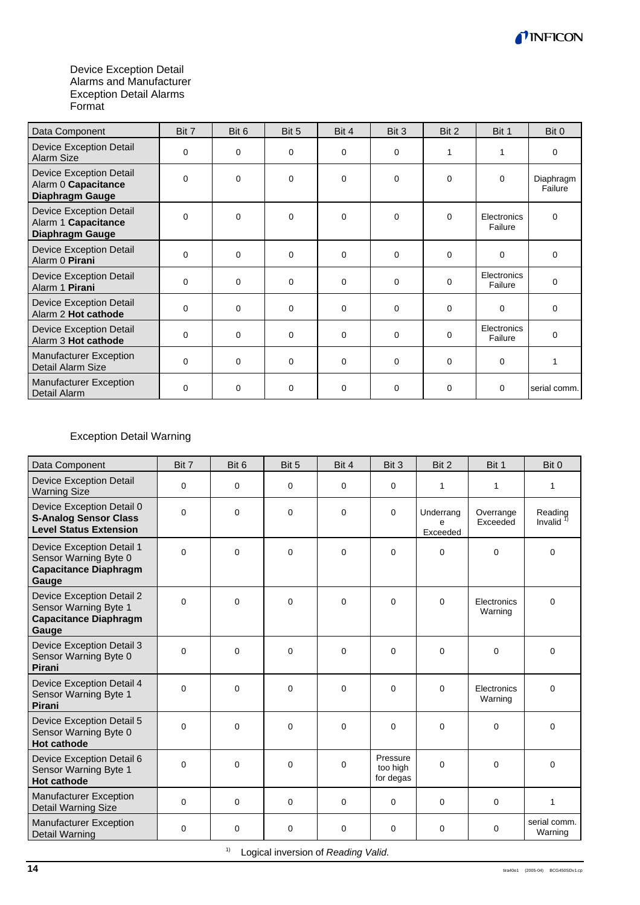

#### Device Exception Detail Alarms and Manufacturer Exception Detail Alarms Format

| Data Component                                                           | Bit 7       | Bit 6       | Bit 5       | Bit 4       | Bit 3       | Bit 2    | Bit 1                  | Bit 0                |
|--------------------------------------------------------------------------|-------------|-------------|-------------|-------------|-------------|----------|------------------------|----------------------|
| <b>Device Exception Detail</b><br>Alarm Size                             | $\mathbf 0$ | $\Omega$    | 0           | $\Omega$    | $\Omega$    | 1        | 1                      | 0                    |
| <b>Device Exception Detail</b><br>Alarm 0 Capacitance<br>Diaphragm Gauge | $\Omega$    | 0           | 0           | $\Omega$    | $\Omega$    | $\Omega$ | $\Omega$               | Diaphragm<br>Failure |
| <b>Device Exception Detail</b><br>Alarm 1 Capacitance<br>Diaphragm Gauge | $\mathbf 0$ | 0           | 0           | 0           | $\mathbf 0$ | $\Omega$ | Electronics<br>Failure | 0                    |
| <b>Device Exception Detail</b><br>Alarm 0 Pirani                         | $\mathbf 0$ | $\mathbf 0$ | $\mathbf 0$ | $\mathbf 0$ | $\mathbf 0$ | $\Omega$ | 0                      | 0                    |
| <b>Device Exception Detail</b><br>Alarm 1 Pirani                         | $\Omega$    | $\Omega$    | $\Omega$    | $\Omega$    | $\Omega$    | $\Omega$ | Electronics<br>Failure | $\Omega$             |
| <b>Device Exception Detail</b><br>Alarm 2 Hot cathode                    | $\mathbf 0$ | $\mathbf 0$ | 0           | $\Omega$    | $\Omega$    | $\Omega$ | $\Omega$               | 0                    |
| <b>Device Exception Detail</b><br>Alarm 3 Hot cathode                    | $\Omega$    | $\Omega$    | $\Omega$    | $\Omega$    | $\Omega$    | $\Omega$ | Electronics<br>Failure | 0                    |
| <b>Manufacturer Exception</b><br>Detail Alarm Size                       | $\mathbf 0$ | $\mathbf 0$ | 0           | $\Omega$    | $\Omega$    | $\Omega$ | $\Omega$               |                      |
| <b>Manufacturer Exception</b><br>Detail Alarm                            | $\Omega$    | $\mathbf 0$ | 0           | $\Omega$    | $\Omega$    | $\Omega$ | $\Omega$               | serial comm.         |

## Exception Detail Warning

| Data Component                                                                              | Bit 7       | Bit 6       | Bit 5       | Bit 4       | Bit 3                             | Bit 2                      | Bit 1                  | Bit 0                   |
|---------------------------------------------------------------------------------------------|-------------|-------------|-------------|-------------|-----------------------------------|----------------------------|------------------------|-------------------------|
| <b>Device Exception Detail</b><br><b>Warning Size</b>                                       | $\mathbf 0$ | 0           | 0           | 0           | $\mathbf 0$                       | $\mathbf{1}$               | 1                      | $\mathbf{1}$            |
| Device Exception Detail 0<br><b>S-Analog Sensor Class</b><br><b>Level Status Extension</b>  | $\Omega$    | $\Omega$    | $\Omega$    | $\Omega$    | $\Omega$                          | Underrang<br>e<br>Exceeded | Overrange<br>Exceeded  | Reading<br>Invalid      |
| Device Exception Detail 1<br>Sensor Warning Byte 0<br><b>Capacitance Diaphragm</b><br>Gauge | $\Omega$    | 0           | $\Omega$    | $\Omega$    | $\Omega$                          | $\Omega$                   | $\Omega$               | $\Omega$                |
| Device Exception Detail 2<br>Sensor Warning Byte 1<br><b>Capacitance Diaphragm</b><br>Gauge | $\Omega$    | 0           | $\Omega$    | $\Omega$    | $\mathbf 0$                       | $\Omega$                   | Electronics<br>Warning | $\Omega$                |
| Device Exception Detail 3<br>Sensor Warning Byte 0<br>Pirani                                | $\Omega$    | 0           | $\Omega$    | $\Omega$    | 0                                 | $\Omega$                   | $\Omega$               | 0                       |
| Device Exception Detail 4<br>Sensor Warning Byte 1<br>Pirani                                | $\Omega$    | $\mathbf 0$ | $\mathbf 0$ | $\Omega$    | 0                                 | $\Omega$                   | Electronics<br>Warning | $\Omega$                |
| Device Exception Detail 5<br>Sensor Warning Byte 0<br><b>Hot cathode</b>                    | 0           | 0           | $\mathbf 0$ | $\mathbf 0$ | $\mathbf 0$                       | $\mathbf 0$                | $\mathbf 0$            | 0                       |
| Device Exception Detail 6<br>Sensor Warning Byte 1<br><b>Hot cathode</b>                    | $\Omega$    | 0           | $\Omega$    | $\Omega$    | Pressure<br>too high<br>for degas | $\Omega$                   | $\Omega$               | $\Omega$                |
| Manufacturer Exception<br>Detail Warning Size                                               | $\Omega$    | 0           | $\mathbf 0$ | $\Omega$    | 0                                 | $\Omega$                   | $\mathbf 0$            | 1                       |
| <b>Manufacturer Exception</b><br><b>Detail Warning</b>                                      | 0           | 0           | 0           | 0           | 0                                 | 0                          | $\mathbf 0$            | serial comm.<br>Warning |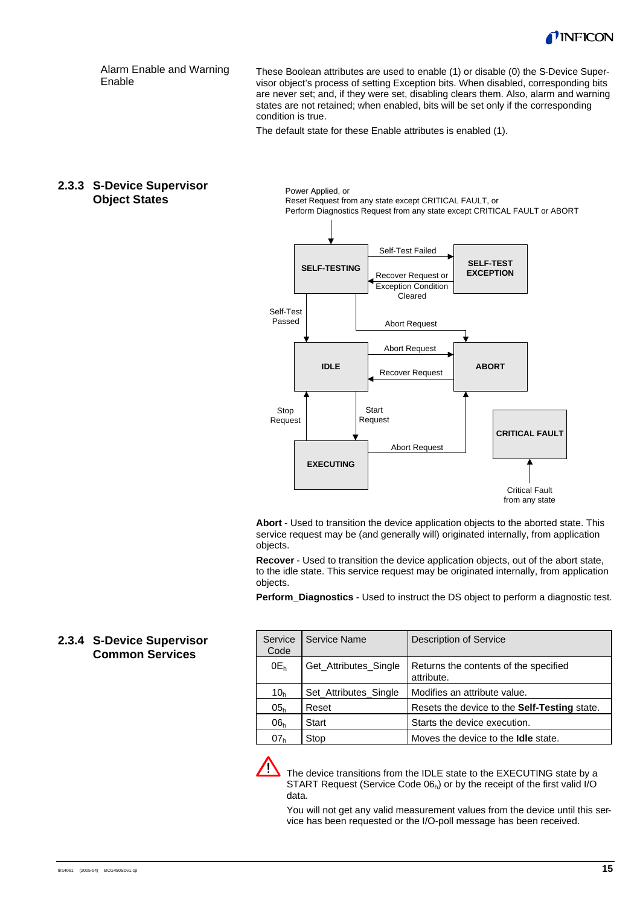

Alarm Enable and Warning Enable

These Boolean attributes are used to enable (1) or disable (0) the S-Device Supervisor object's process of setting Exception bits. When disabled, corresponding bits are never set; and, if they were set, disabling clears them. Also, alarm and warning states are not retained; when enabled, bits will be set only if the corresponding condition is true.

The default state for these Enable attributes is enabled (1).

#### **2.3.3 S-Device Supervisor Object States**

Power Applied, or Reset Request from any state except CRITICAL FAULT, or Perform Diagnostics Request from any state except CRITICAL FAULT or ABORT



**Abort** - Used to transition the device application objects to the aborted state. This service request may be (and generally will) originated internally, from application objects.

**Recover** - Used to transition the device application objects, out of the abort state, to the idle state. This service request may be originated internally, from application objects.

**Perform Diagnostics** - Used to instruct the DS object to perform a diagnostic test.

## **2.3.4 S-Device Supervisor Common Services**

| Service<br>Code | Service Name          | <b>Description of Service</b>                       |
|-----------------|-----------------------|-----------------------------------------------------|
| $0E_h$          | Get Attributes Single | Returns the contents of the specified<br>attribute. |
| 10 <sub>h</sub> | Set Attributes Single | Modifies an attribute value.                        |
| 05 <sub>h</sub> | Reset                 | Resets the device to the Self-Testing state.        |
| 06 <sub>h</sub> | Start                 | Starts the device execution.                        |
| 07 <sub>h</sub> | Stop                  | Moves the device to the <b>Idle</b> state.          |

The device transitions from the IDLE state to the EXECUTING state by a START Request (Service Code  $06<sub>h</sub>$ ) or by the receipt of the first valid I/O data.

You will not get any valid measurement values from the device until this service has been requested or the I/O-poll message has been received.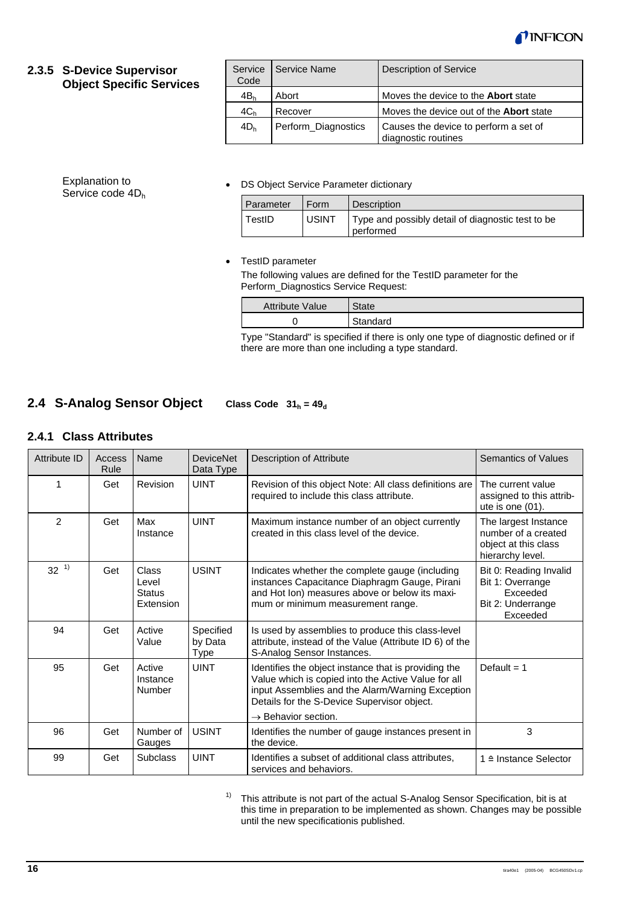

#### **2.3.5 S-Device Supervisor Object Specific Services**

Explanation to Service code 4D<sub>h</sub>

| Service<br>Code | Service Name        | <b>Description of Service</b>                                |
|-----------------|---------------------|--------------------------------------------------------------|
| 4B <sub>h</sub> | Abort               | Moves the device to the <b>Abort</b> state                   |
| 4C <sub>h</sub> | Recover             | Moves the device out of the <b>Abort</b> state               |
| 4D <sub>h</sub> | Perform_Diagnostics | Causes the device to perform a set of<br>diagnostic routines |

#### • DS Object Service Parameter dictionary

| Parameter | Form         | <b>Description</b>                                             |
|-----------|--------------|----------------------------------------------------------------|
| TestID    | <b>USINT</b> | Type and possibly detail of diagnostic test to be<br>performed |

#### • TestID parameter

The following values are defined for the TestID parameter for the Perform\_Diagnostics Service Request:

| <b>Attribute Value</b> | State    |
|------------------------|----------|
|                        | Standard |

Type "Standard" is specified if there is only one type of diagnostic defined or if there are more than one including a type standard.

#### **Class Code**  $31_h = 49_d$ **2.4 S-Analog Sensor Object**

## **2.4.1 Class Attributes**

| Attribute ID   | Access<br>Rule | Name                                         | <b>DeviceNet</b><br>Data Type       | <b>Description of Attribute</b>                                                                                                                                                                                                                   | <b>Semantics of Values</b>                                                              |
|----------------|----------------|----------------------------------------------|-------------------------------------|---------------------------------------------------------------------------------------------------------------------------------------------------------------------------------------------------------------------------------------------------|-----------------------------------------------------------------------------------------|
| 1              | Get            | Revision                                     | <b>UINT</b>                         | Revision of this object Note: All class definitions are<br>required to include this class attribute.                                                                                                                                              | The current value<br>assigned to this attrib-<br>ute is one $(01)$ .                    |
| $\overline{2}$ | Get            | Max<br>Instance                              | <b>UINT</b>                         | Maximum instance number of an object currently<br>created in this class level of the device.                                                                                                                                                      | The largest Instance<br>number of a created<br>object at this class<br>hierarchy level. |
| $32^{1}$       | Get            | Class<br>Level<br><b>Status</b><br>Extension | <b>USINT</b>                        | Indicates whether the complete gauge (including<br>instances Capacitance Diaphragm Gauge, Pirani<br>and Hot Ion) measures above or below its maxi-<br>mum or minimum measurement range.                                                           | Bit 0: Reading Invalid<br>Bit 1: Overrange<br>Exceeded<br>Bit 2: Underrange<br>Exceeded |
| 94             | Get            | Active<br>Value                              | Specified<br>by Data<br><b>Type</b> | Is used by assemblies to produce this class-level<br>attribute, instead of the Value (Attribute ID 6) of the<br>S-Analog Sensor Instances.                                                                                                        |                                                                                         |
| 95             | Get            | Active<br>Instance<br>Number                 | <b>UINT</b>                         | Identifies the object instance that is providing the<br>Value which is copied into the Active Value for all<br>input Assemblies and the Alarm/Warning Exception<br>Details for the S-Device Supervisor object.<br>$\rightarrow$ Behavior section. | Default = $1$                                                                           |
|                |                |                                              |                                     |                                                                                                                                                                                                                                                   |                                                                                         |
| 96             | Get            | Number of<br>Gauges                          | <b>USINT</b>                        | Identifies the number of gauge instances present in<br>the device.                                                                                                                                                                                | 3                                                                                       |
| 99             | Get            | <b>Subclass</b>                              | <b>UINT</b>                         | Identifies a subset of additional class attributes,<br>services and behaviors.                                                                                                                                                                    | 1 ≙ Instance Selector                                                                   |

<sup>1)</sup> This attribute is not part of the actual S-Analog Sensor Specification, bit is at this time in preparation to be implemented as shown. Changes may be possible until the new specificationis published.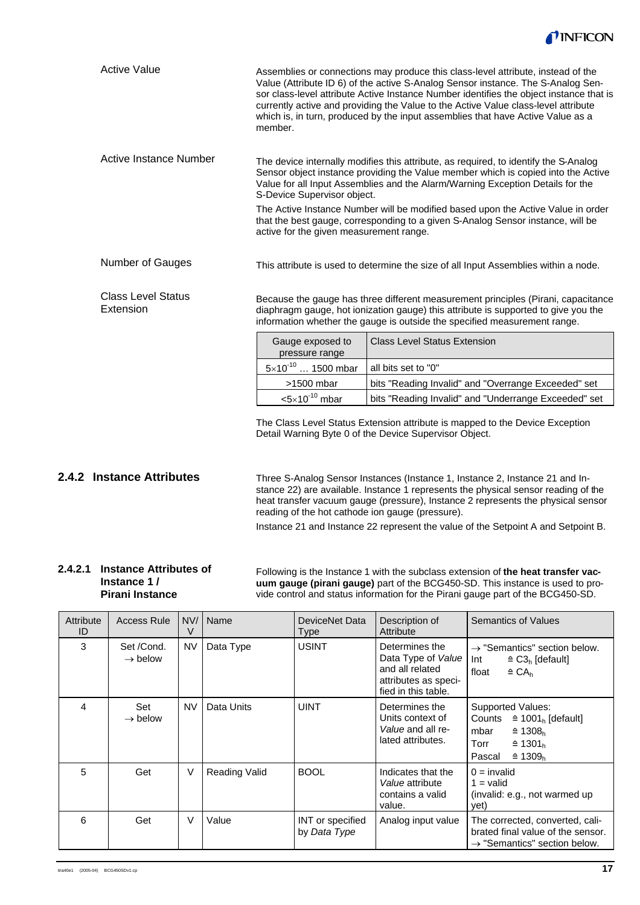

| <b>Active Value</b>                    | Assemblies or connections may produce this class-level attribute, instead of the<br>Value (Attribute ID 6) of the active S-Analog Sensor instance. The S-Analog Sen-<br>sor class-level attribute Active Instance Number identifies the object instance that is<br>currently active and providing the Value to the Active Value class-level attribute<br>which is, in turn, produced by the input assemblies that have Active Value as a<br>member. |                                                                                                                                                                                                                                                      |  |  |  |  |
|----------------------------------------|-----------------------------------------------------------------------------------------------------------------------------------------------------------------------------------------------------------------------------------------------------------------------------------------------------------------------------------------------------------------------------------------------------------------------------------------------------|------------------------------------------------------------------------------------------------------------------------------------------------------------------------------------------------------------------------------------------------------|--|--|--|--|
| Active Instance Number                 | The device internally modifies this attribute, as required, to identify the S-Analog<br>Sensor object instance providing the Value member which is copied into the Active<br>Value for all Input Assemblies and the Alarm/Warning Exception Details for the<br>S-Device Supervisor object.                                                                                                                                                          |                                                                                                                                                                                                                                                      |  |  |  |  |
|                                        | active for the given measurement range.                                                                                                                                                                                                                                                                                                                                                                                                             | The Active Instance Number will be modified based upon the Active Value in order<br>that the best gauge, corresponding to a given S-Analog Sensor instance, will be                                                                                  |  |  |  |  |
| Number of Gauges                       |                                                                                                                                                                                                                                                                                                                                                                                                                                                     | This attribute is used to determine the size of all Input Assemblies within a node.                                                                                                                                                                  |  |  |  |  |
| <b>Class Level Status</b><br>Extension |                                                                                                                                                                                                                                                                                                                                                                                                                                                     | Because the gauge has three different measurement principles (Pirani, capacitance<br>diaphragm gauge, hot ionization gauge) this attribute is supported to give you the<br>information whether the gauge is outside the specified measurement range. |  |  |  |  |
|                                        | Gauge exposed to<br>pressure range                                                                                                                                                                                                                                                                                                                                                                                                                  | <b>Class Level Status Extension</b>                                                                                                                                                                                                                  |  |  |  |  |
|                                        | $5 \times 10^{-10}$ 1500 mbar                                                                                                                                                                                                                                                                                                                                                                                                                       | all bits set to "0"                                                                                                                                                                                                                                  |  |  |  |  |
|                                        | $>1500$ mbar<br>bits "Reading Invalid" and "Overrange Exceeded" set<br>$<$ 5 $\times$ 10 <sup>-10</sup> mbar<br>bits "Reading Invalid" and "Underrange Exceeded" set                                                                                                                                                                                                                                                                                |                                                                                                                                                                                                                                                      |  |  |  |  |
|                                        |                                                                                                                                                                                                                                                                                                                                                                                                                                                     |                                                                                                                                                                                                                                                      |  |  |  |  |
|                                        | The Class Level Status Extension attribute is mapped to the Device Exception                                                                                                                                                                                                                                                                                                                                                                        |                                                                                                                                                                                                                                                      |  |  |  |  |

s Extension attribute is mapped to the Device Exception Detail Warning Byte 0 of the Device Supervisor Object.

### **2.4.2 Instance Attributes**

Three S-Analog Sensor Instances (Instance 1, Instance 2, Instance 21 and Instance 22) are available. Instance 1 represents the physical sensor reading of the heat transfer vacuum gauge (pressure), Instance 2 represents the physical sensor reading of the hot cathode ion gauge (pressure).

Instance 21 and Instance 22 represent the value of the Setpoint A and Setpoint B.

#### **2.4.2.1 Instance Attributes of Instance 1 / Pirani Instance**

Following is the Instance 1 with the subclass extension of **the heat transfer vacuum gauge (pirani gauge)** part of the BCG450-SD. This instance is used to provide control and status information for the Pirani gauge part of the BCG450-SD.

| Attribute<br>ID | <b>Access Rule</b>                |           | NV/   Name           | DeviceNet Data<br>Type           | Description of<br>Attribute                                                                            | Semantics of Values                                                                                                                                                        |  |
|-----------------|-----------------------------------|-----------|----------------------|----------------------------------|--------------------------------------------------------------------------------------------------------|----------------------------------------------------------------------------------------------------------------------------------------------------------------------------|--|
| 3               | Set /Cond.<br>$\rightarrow$ below | <b>NV</b> | Data Type            | <b>USINT</b>                     | Determines the<br>Data Type of Value<br>and all related<br>attributes as speci-<br>fied in this table. | $\rightarrow$ "Semantics" section below.<br>Int<br>$\triangleq$ C3 <sub>h</sub> [default]<br>float<br>$\triangleq$ CA <sub>h</sub>                                         |  |
| 4               | Set<br>$\rightarrow$ below        | <b>NV</b> | Data Units           | <b>UINT</b>                      | Determines the<br>Units context of<br>Value and all re-<br>lated attributes.                           | Supported Values:<br>$\hat{=}$ 1001 <sub>h</sub> [default]<br>Counts<br>$\hat{=}$ 1308 <sub>h</sub><br>mbar<br>Torr<br>≙ 1301 $h$<br>$\hat{=}$ 1309 <sub>h</sub><br>Pascal |  |
| 5               | Get                               | V         | <b>Reading Valid</b> | <b>BOOL</b>                      | Indicates that the<br><i>Value</i> attribute<br>contains a valid<br>value.                             | $0 =$ invalid<br>$1 =$ valid<br>(invalid: e.g., not warmed up<br>yet)                                                                                                      |  |
| 6               | Get                               | V         | Value                | INT or specified<br>by Data Type | Analog input value                                                                                     | The corrected, converted, cali-<br>brated final value of the sensor.<br>$\rightarrow$ "Semantics" section below.                                                           |  |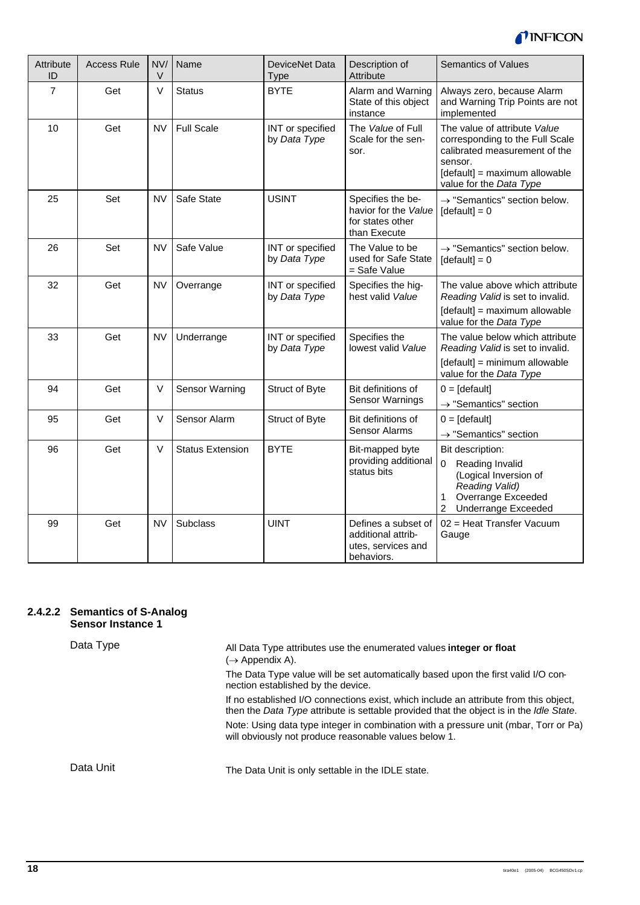

| Attribute<br>ID | <b>Access Rule</b> | NV/<br>V  | Name                    | DeviceNet Data<br>Type           | Description of<br>Attribute                                                   | <b>Semantics of Values</b>                                                                                                                                                             |
|-----------------|--------------------|-----------|-------------------------|----------------------------------|-------------------------------------------------------------------------------|----------------------------------------------------------------------------------------------------------------------------------------------------------------------------------------|
| $\overline{7}$  | Get                | $\vee$    | <b>Status</b>           | <b>BYTE</b>                      | Alarm and Warning<br>State of this object<br>instance                         | Always zero, because Alarm<br>and Warning Trip Points are not<br>implemented                                                                                                           |
| 10              | Get                | <b>NV</b> | <b>Full Scale</b>       | INT or specified<br>by Data Type | The Value of Full<br>Scale for the sen-<br>sor.                               | The value of attribute Value<br>corresponding to the Full Scale<br>calibrated measurement of the<br>sensor.<br>[default] = maximum allowable<br>value for the Data Type                |
| 25              | Set                | <b>NV</b> | Safe State              | <b>USINT</b>                     | Specifies the be-<br>havior for the Value<br>for states other<br>than Execute | $\rightarrow$ "Semantics" section below.<br>$[default] = 0$                                                                                                                            |
| 26              | Set                | <b>NV</b> | Safe Value              | INT or specified<br>by Data Type | The Value to be<br>used for Safe State<br>= Safe Value                        | $\rightarrow$ "Semantics" section below.<br>$[default] = 0$                                                                                                                            |
| 32              | Get                | <b>NV</b> | Overrange               | INT or specified<br>by Data Type | Specifies the hig-<br>hest valid Value                                        | The value above which attribute<br>Reading Valid is set to invalid.<br>[default] = maximum allowable<br>value for the Data Type                                                        |
| 33              | Get                | <b>NV</b> | Underrange              | INT or specified<br>by Data Type | Specifies the<br>lowest valid Value                                           | The value below which attribute<br>Reading Valid is set to invalid.<br>[default] = minimum allowable<br>value for the Data Type                                                        |
| 94              | Get                | V         | Sensor Warning          | Struct of Byte                   | Bit definitions of<br><b>Sensor Warnings</b>                                  | $0 = [default]$<br>$\rightarrow$ "Semantics" section                                                                                                                                   |
| 95              | Get                | $\vee$    | Sensor Alarm            | Struct of Byte                   | Bit definitions of<br>Sensor Alarms                                           | $0 = [default]$<br>$\rightarrow$ "Semantics" section                                                                                                                                   |
| 96              | Get                | V         | <b>Status Extension</b> | <b>BYTE</b>                      | Bit-mapped byte<br>providing additional<br>status bits                        | Bit description:<br>Reading Invalid<br>$\overline{0}$<br>(Logical Inversion of<br>Reading Valid)<br>Overrange Exceeded<br>$\mathbf{1}$<br><b>Underrange Exceeded</b><br>$\overline{2}$ |
| 99              | Get                | <b>NV</b> | Subclass                | <b>UINT</b>                      | Defines a subset of<br>additional attrib-<br>utes, services and<br>behaviors. | 02 = Heat Transfer Vacuum<br>Gauge                                                                                                                                                     |

#### **2.4.2.2 Semantics of S-Analog Sensor Instance 1**

Data Type

All Data Type attributes use the enumerated values **integer or float**  $(\rightarrow$  Appendix A).

The Data Type value will be set automatically based upon the first valid I/O connection established by the device.

If no established I/O connections exist, which include an attribute from this object, then the *Data Type* attribute is settable provided that the object is in the *Idle State*. Note: Using data type integer in combination with a pressure unit (mbar, Torr or Pa)

Data Unit

The Data Unit is only settable in the IDLE state.

will obviously not produce reasonable values below 1.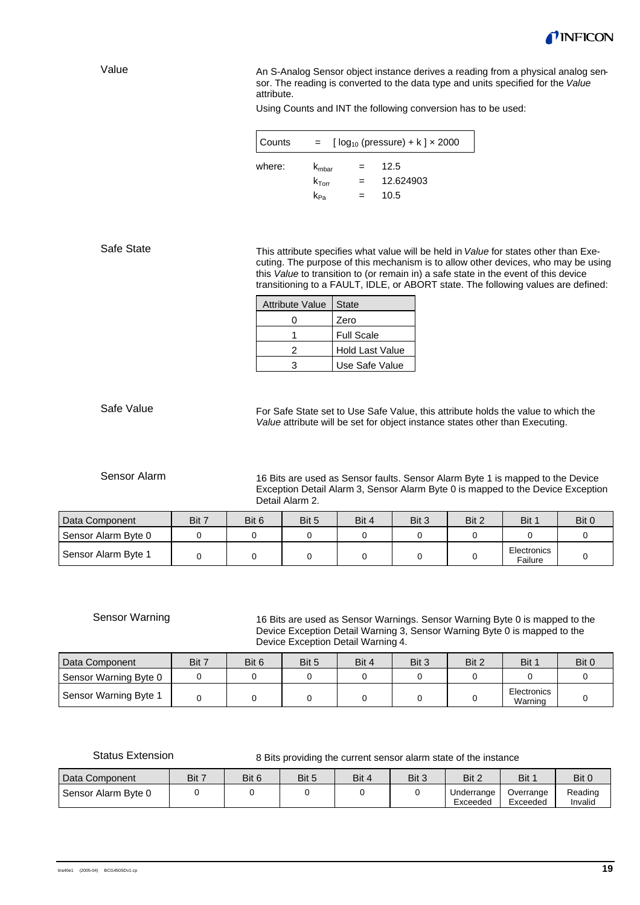

Value

An S-Analog Sensor object instance derives a reading from a physical analog sensor. The reading is converted to the data type and units specified for the *Value* attribute.

Using Counts and INT the following conversion has to be used:

| Counts | $\lceil log_{10} (pressure) + k \rceil \times 2000$<br>$=$ |  |           |  |  |  |  |  |
|--------|------------------------------------------------------------|--|-----------|--|--|--|--|--|
| where: | $k_{\rm mbar}$                                             |  | 12.5      |  |  |  |  |  |
|        | $k_{\text{Torr}}$                                          |  | 12.624903 |  |  |  |  |  |
|        | K <sub>Pa</sub>                                            |  | 10.5      |  |  |  |  |  |

Safe State

This attribute specifies what value will be held in *Value* for states other than Executing. The purpose of this mechanism is to allow other devices, who may be using this *Value* to transition to (or remain in) a safe state in the event of this device transitioning to a FAULT, IDLE, or ABORT state. The following values are defined:

| Attribute Value   State |                        |
|-------------------------|------------------------|
|                         | Zero                   |
|                         | <b>Full Scale</b>      |
|                         | <b>Hold Last Value</b> |
|                         | Use Safe Value         |

Safe Value

For Safe State set to Use Safe Value, this attribute holds the value to which the *Value* attribute will be set for object instance states other than Executing.

#### Sensor Alarm

16 Bits are used as Sensor faults. Sensor Alarm Byte 1 is mapped to the Device Exception Detail Alarm 3, Sensor Alarm Byte 0 is mapped to the Device Exception Detail Alarm 2.

| Data Component      | Bit 7 | Bit 6 | Bit 5 | Bit 4 | Bit 3 | Bit 2 | Bit 1                  | Bit 0 |
|---------------------|-------|-------|-------|-------|-------|-------|------------------------|-------|
| Sensor Alarm Byte 0 |       |       |       |       |       |       |                        |       |
| Sensor Alarm Byte 1 |       |       |       |       |       |       | Electronics<br>Failure |       |

#### Sensor Warning

16 Bits are used as Sensor Warnings. Sensor Warning Byte 0 is mapped to the Device Exception Detail Warning 3, Sensor Warning Byte 0 is mapped to the Device Exception Detail Warning 4.

| Data Component        | Bit 7 | Bit 6 | Bit 5 | Bit 4 | Bit 3 | Bit 2 | Bit 1                  | Bit 0 |
|-----------------------|-------|-------|-------|-------|-------|-------|------------------------|-------|
| Sensor Warning Byte 0 |       |       |       |       |       |       |                        |       |
| Sensor Warning Byte 1 |       |       |       |       |       |       | Electronics<br>Warning |       |

Status Extension

#### 8 Bits providing the current sensor alarm state of the instance

| Data Component      | Bit 7 | Bit 6 | Bit 5 | Bit 4 | Bit 3 | Bit 2                  | Bit 1                 | Bit 0              |
|---------------------|-------|-------|-------|-------|-------|------------------------|-----------------------|--------------------|
| Sensor Alarm Byte 0 |       |       |       |       |       | Underrange<br>Exceeded | Overrange<br>Exceeded | Reading<br>Invalid |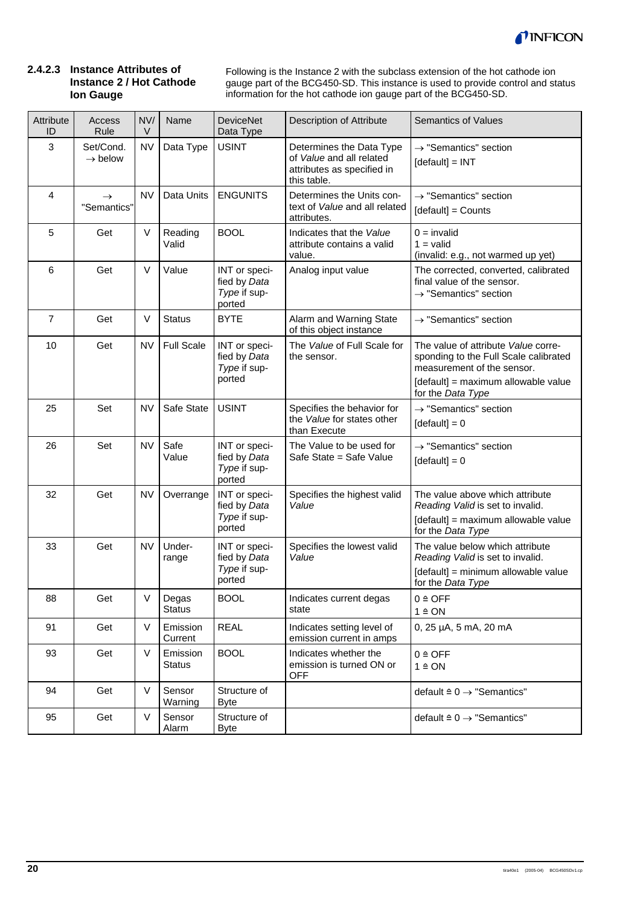

#### **2.4.2.3 Instance Attributes of Instance 2 / Hot Cathode Ion Gauge**

Following is the Instance 2 with the subclass extension of the hot cathode ion gauge part of the BCG450-SD. This instance is used to provide control and status information for the hot cathode ion gauge part of the BCG450-SD.

| Attribute<br>ID | Access<br>Rule                   | NV/<br>V    | Name                      | <b>DeviceNet</b><br>Data Type                           | Description of Attribute                                                                          | <b>Semantics of Values</b>                                                                                                                                             |
|-----------------|----------------------------------|-------------|---------------------------|---------------------------------------------------------|---------------------------------------------------------------------------------------------------|------------------------------------------------------------------------------------------------------------------------------------------------------------------------|
| 3               | Set/Cond.<br>$\rightarrow$ below | <b>NV</b>   | Data Type                 | <b>USINT</b>                                            | Determines the Data Type<br>of Value and all related<br>attributes as specified in<br>this table. | $\rightarrow$ "Semantics" section<br>$[default] = INT$                                                                                                                 |
| 4               | $\rightarrow$<br>"Semantics"     | <b>NV</b>   | Data Units                | <b>ENGUNITS</b>                                         | Determines the Units con-<br>text of Value and all related<br>attributes.                         | $\rightarrow$ "Semantics" section<br>[default] = Counts                                                                                                                |
| 5               | Get                              | $\vee$      | Reading<br>Valid          | <b>BOOL</b>                                             | Indicates that the Value<br>attribute contains a valid<br>value.                                  | $0 =$ invalid<br>$1 =$ valid<br>(invalid: e.g., not warmed up yet)                                                                                                     |
| 6               | Get                              | $\vee$      | Value                     | INT or speci-<br>fied by Data<br>Type if sup-<br>ported | Analog input value                                                                                | The corrected, converted, calibrated<br>final value of the sensor.<br>$\rightarrow$ "Semantics" section                                                                |
| $\overline{7}$  | Get                              | V           | <b>Status</b>             | <b>BYTE</b>                                             | Alarm and Warning State<br>of this object instance                                                | $\rightarrow$ "Semantics" section                                                                                                                                      |
| 10              | Get                              | <b>NV</b>   | <b>Full Scale</b>         | INT or speci-<br>fied by Data<br>Type if sup-<br>ported | The Value of Full Scale for<br>the sensor.                                                        | The value of attribute Value corre-<br>sponding to the Full Scale calibrated<br>measurement of the sensor.<br>[default] = maximum allowable value<br>for the Data Type |
| 25              | Set                              | <b>NV</b>   | Safe State                | <b>USINT</b>                                            | Specifies the behavior for<br>the Value for states other<br>than Execute                          | $\rightarrow$ "Semantics" section<br>$[default] = 0$                                                                                                                   |
| 26              | Set                              | <b>NV</b>   | Safe<br>Value             | INT or speci-<br>fied by Data<br>Type if sup-<br>ported | The Value to be used for<br>Safe State = Safe Value                                               | $\rightarrow$ "Semantics" section<br>$[default] = 0$                                                                                                                   |
| 32              | Get                              | <b>NV</b>   | Overrange                 | INT or speci-<br>fied by Data<br>Type if sup-<br>ported | Specifies the highest valid<br>Value                                                              | The value above which attribute<br>Reading Valid is set to invalid.<br>[default] = maximum allowable value<br>for the Data Type                                        |
| 33              | Get                              | <b>NV</b>   | Under-<br>range           | INT or speci-<br>fied by Data<br>Type if sup-<br>ported | Specifies the lowest valid<br>Value                                                               | The value below which attribute<br>Reading Valid is set to invalid.<br>[default] = minimum allowable value<br>for the Data Type                                        |
| 88              | Get                              | V           | Degas<br><b>Status</b>    | <b>BOOL</b>                                             | Indicates current degas<br>state                                                                  | $0 \triangleq$ OFF<br>$1 \triangleq ON$                                                                                                                                |
| 91              | Get                              | $\vee$      | Emission<br>Current       | <b>REAL</b>                                             | Indicates setting level of<br>emission current in amps                                            | 0, 25 µA, 5 mA, 20 mA                                                                                                                                                  |
| 93              | Get                              | $\vee$      | Emission<br><b>Status</b> | <b>BOOL</b>                                             | Indicates whether the<br>emission is turned ON or<br><b>OFF</b>                                   | $0 \triangleq$ OFF<br>$1 \triangleq ON$                                                                                                                                |
| 94              | Get                              | $\vee$      | Sensor<br>Warning         | Structure of<br><b>Byte</b>                             |                                                                                                   | default $\triangleq 0 \rightarrow$ "Semantics"                                                                                                                         |
| 95              | Get                              | $\mathsf V$ | Sensor<br>Alarm           | Structure of<br><b>Byte</b>                             |                                                                                                   | default $\triangleq 0 \rightarrow$ "Semantics"                                                                                                                         |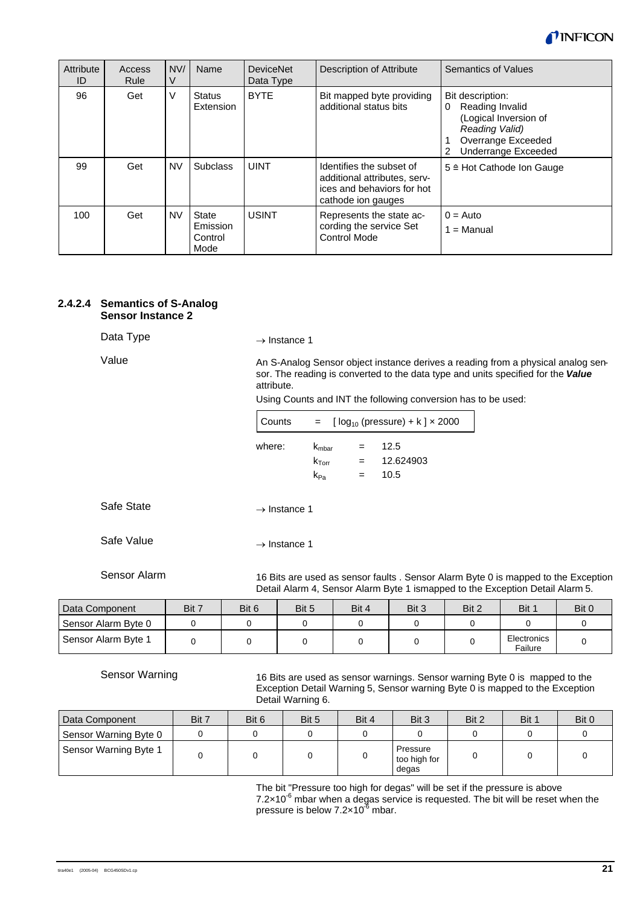

| Attribute<br>ID | Access<br>Rule | NVI<br>V  | Name                                 | <b>DeviceNet</b><br>Data Type | Description of Attribute                                                                                     | Semantics of Values                                                                                                                   |
|-----------------|----------------|-----------|--------------------------------------|-------------------------------|--------------------------------------------------------------------------------------------------------------|---------------------------------------------------------------------------------------------------------------------------------------|
| 96              | Get            | $\vee$    | <b>Status</b><br>Extension           | <b>BYTE</b>                   | Bit mapped byte providing<br>additional status bits                                                          | Bit description:<br>Reading Invalid<br>0<br>(Logical Inversion of<br>Reading Valid)<br>Overrange Exceeded<br>Underrange Exceeded<br>2 |
| 99              | Get            | <b>NV</b> | <b>Subclass</b>                      | <b>UINT</b>                   | Identifies the subset of<br>additional attributes, serv-<br>ices and behaviors for hot<br>cathode ion gauges | 5 ≙ Hot Cathode Ion Gauge                                                                                                             |
| 100             | Get            | <b>NV</b> | State<br>Emission<br>Control<br>Mode | <b>USINT</b>                  | Represents the state ac-<br>cording the service Set<br><b>Control Mode</b>                                   | $0 = \text{Auto}$<br>$1 =$ Manual                                                                                                     |

#### **2.4.2.4 Semantics of S-Analog Sensor Instance 2**

Data Type

Value

 $\rightarrow$  Instance 1

An S-Analog Sensor object instance derives a reading from a physical analog sensor. The reading is converted to the data type and units specified for the *Value* attribute.

Using Counts and INT the following conversion has to be used:

| Counts | $[log_{10} (pressure) + k] \times 2000$<br>$=$         |     |                           |  |  |  |
|--------|--------------------------------------------------------|-----|---------------------------|--|--|--|
| where: | $K_{\rm mbar}$<br>$k_{\text{Torr}}$<br>k <sub>Pa</sub> | $=$ | 12.5<br>12.624903<br>10.5 |  |  |  |

Safe State

 $\rightarrow$  Instance 1

Safe Value

 $\rightarrow$  Instance 1

Sensor Alarm

16 Bits are used as sensor faults . Sensor Alarm Byte 0 is mapped to the Exception Detail Alarm 4, Sensor Alarm Byte 1 ismapped to the Exception Detail Alarm 5.

| Data Component      | Bit 7 | Bit 6 | Bit 5 | Bit 4 | Bit 3 | Bit 2 | Bit 1                  | Bit 0 |
|---------------------|-------|-------|-------|-------|-------|-------|------------------------|-------|
| Sensor Alarm Byte 0 |       |       |       |       |       |       |                        |       |
| Sensor Alarm Byte 1 |       |       |       |       |       |       | Electronics<br>Failure |       |

Sensor Warning

16 Bits are used as sensor warnings. Sensor warning Byte 0 is mapped to the Exception Detail Warning 5, Sensor warning Byte 0 is mapped to the Exception Detail Warning 6.

| Data Component        | Bit 7 | Bit 6 | Bit 5 | Bit 4 | Bit 3                             | Bit 2 | Bit 1 | Bit 0 |
|-----------------------|-------|-------|-------|-------|-----------------------------------|-------|-------|-------|
| Sensor Warning Byte 0 |       |       |       |       |                                   |       |       |       |
| Sensor Warning Byte 1 |       |       |       |       | Pressure<br>too high for<br>degas |       |       |       |

The bit "Pressure too high for degas" will be set if the pressure is above  $7.2\times10^6$  mbar when a degas service is requested. The bit will be reset when the pressure is below  $7.2 \times 10^{-6}$  mbar.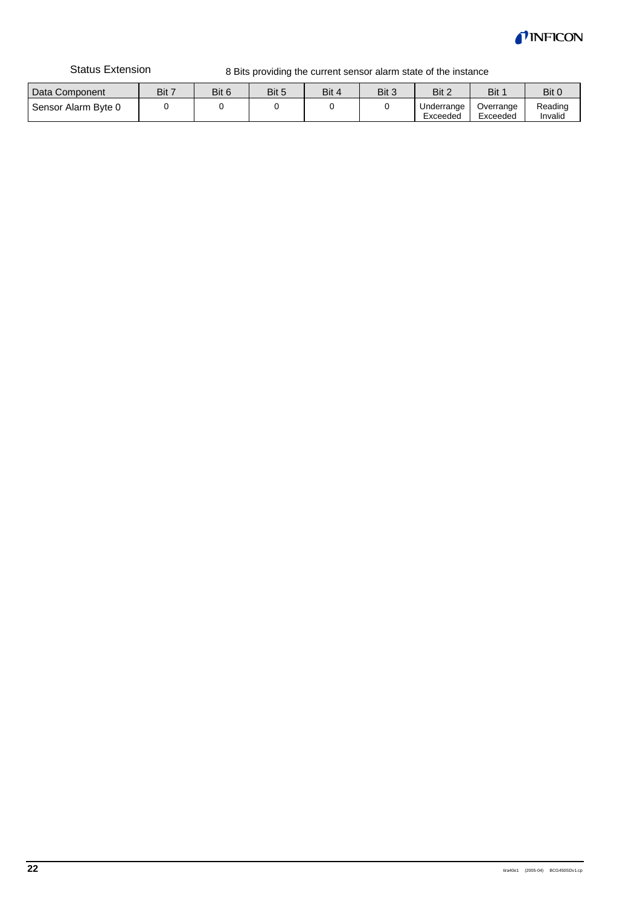

Status Extension

8 Bits providing the current sensor alarm state of the instance

| Data Component      | Bit 7 | Bit 6 | Bit 5 | Bit 4 | Bit 3 | Bit 2                  | Bit                   | Bit 0              |
|---------------------|-------|-------|-------|-------|-------|------------------------|-----------------------|--------------------|
| Sensor Alarm Byte 0 |       |       |       |       |       | Underrange<br>Exceeded | Overrange<br>Exceeded | Reading<br>Invalid |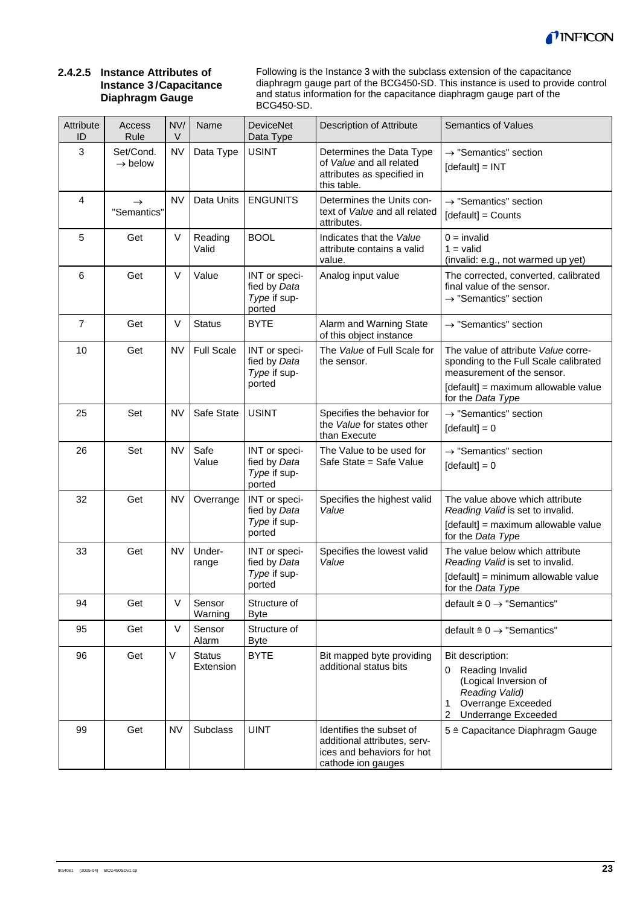

#### **2.4.2.5 Instance Attributes of Instance 3 / Capacitance Diaphragm Gauge**

Following is the Instance 3 with the subclass extension of the capacitance diaphragm gauge part of the BCG450-SD. This instance is used to provide control and status information for the capacitance diaphragm gauge part of the BCG450-SD.

| Attribute<br>ID | Access<br>Rule                   | NV/<br>V  | Name                       | <b>DeviceNet</b><br>Data Type                           | Description of Attribute                                                                                     | <b>Semantics of Values</b>                                                                                                                        |
|-----------------|----------------------------------|-----------|----------------------------|---------------------------------------------------------|--------------------------------------------------------------------------------------------------------------|---------------------------------------------------------------------------------------------------------------------------------------------------|
| 3               | Set/Cond.<br>$\rightarrow$ below | <b>NV</b> | Data Type                  | <b>USINT</b>                                            | Determines the Data Type<br>of Value and all related<br>attributes as specified in<br>this table.            | $\rightarrow$ "Semantics" section<br>$[default] = INT$                                                                                            |
| $\overline{4}$  | $\rightarrow$<br>"Semantics"     | <b>NV</b> | Data Units                 | <b>ENGUNITS</b>                                         | Determines the Units con-<br>text of Value and all related<br>attributes.                                    | $\rightarrow$ "Semantics" section<br>[default] = Counts                                                                                           |
| 5               | Get                              | $\vee$    | Reading<br>Valid           | <b>BOOL</b>                                             | Indicates that the Value<br>attribute contains a valid<br>value.                                             | $0 =$ invalid<br>$1 =$ valid<br>(invalid: e.g., not warmed up yet)                                                                                |
| $\,6$           | Get                              | $\vee$    | Value                      | INT or speci-<br>fied by Data<br>Type if sup-<br>ported | Analog input value                                                                                           | The corrected, converted, calibrated<br>final value of the sensor.<br>$\rightarrow$ "Semantics" section                                           |
| $\overline{7}$  | Get                              | $\vee$    | <b>Status</b>              | <b>BYTE</b>                                             | Alarm and Warning State<br>of this object instance                                                           | $\rightarrow$ "Semantics" section                                                                                                                 |
| 10              | Get                              | <b>NV</b> | <b>Full Scale</b>          | INT or speci-<br>fied by Data<br>Type if sup-<br>ported | The Value of Full Scale for<br>the sensor.                                                                   | The value of attribute Value corre-<br>sponding to the Full Scale calibrated<br>measurement of the sensor.                                        |
|                 |                                  |           |                            |                                                         |                                                                                                              | [default] = maximum allowable value<br>for the Data Type                                                                                          |
| 25              | Set                              | <b>NV</b> | Safe State                 | <b>USINT</b>                                            | Specifies the behavior for<br>the Value for states other<br>than Execute                                     | $\rightarrow$ "Semantics" section<br>$[default] = 0$                                                                                              |
| 26              | Set                              | <b>NV</b> | Safe<br>Value              | INT or speci-<br>fied by Data<br>Type if sup-<br>ported | The Value to be used for<br>Safe State = Safe Value                                                          | $\rightarrow$ "Semantics" section<br>$[default] = 0$                                                                                              |
| 32              | Get                              | <b>NV</b> | Overrange                  | INT or speci-<br>fied by Data<br>Type if sup-<br>ported | Specifies the highest valid<br>Value                                                                         | The value above which attribute<br>Reading Valid is set to invalid.<br>[default] = maximum allowable value<br>for the Data Type                   |
| 33              | Get                              | <b>NV</b> | Under-<br>range            | INT or speci-<br>fied by Data<br>Type if sup-<br>ported | Specifies the lowest valid<br>Value                                                                          | The value below which attribute<br>Reading Valid is set to invalid.<br>[default] = minimum allowable value<br>for the Data Type                   |
| 94              | Get                              | V         | Sensor<br>Warning          | Structure of<br><b>Byte</b>                             |                                                                                                              | default $\triangleq 0 \rightarrow$ "Semantics"                                                                                                    |
| 95              | Get                              | $\vee$    | Sensor<br>Alarm            | Structure of<br><b>Byte</b>                             |                                                                                                              | default $\triangleq 0 \rightarrow$ "Semantics"                                                                                                    |
| 96              | Get                              | $\vee$    | <b>Status</b><br>Extension | <b>BYTE</b>                                             | Bit mapped byte providing<br>additional status bits                                                          | Bit description:<br>Reading Invalid<br>0<br>(Logical Inversion of<br>Reading Valid)<br>Overrange Exceeded<br>1<br>2<br><b>Underrange Exceeded</b> |
| 99              | Get                              | <b>NV</b> | <b>Subclass</b>            | <b>UINT</b>                                             | Identifies the subset of<br>additional attributes, serv-<br>ices and behaviors for hot<br>cathode ion gauges | 5 ≙ Capacitance Diaphragm Gauge                                                                                                                   |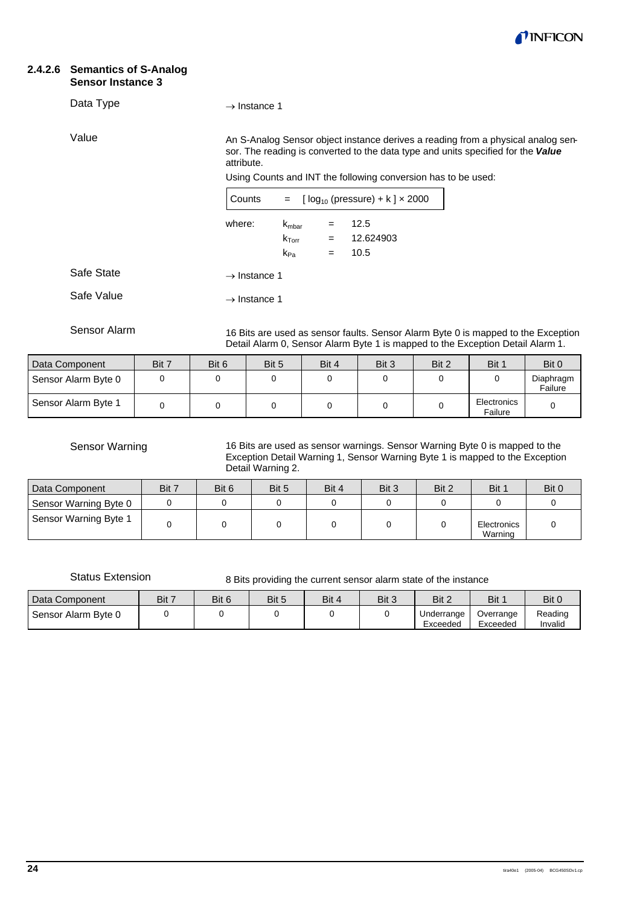

#### **2.4.2.6 Semantics of S-Analog Sensor Instance 3**

#### Data Type

Value

 $\rightarrow$  Instance 1

An S-Analog Sensor object instance derives a reading from a physical analog sensor. The reading is converted to the data type and units specified for the *Value* attribute.

Using Counts and INT the following conversion has to be used:

| Counts                   |                                     |     | = $[log_{10} (pressure) + k] \times 2000$ |  |  |  |
|--------------------------|-------------------------------------|-----|-------------------------------------------|--|--|--|
| where:                   | $K_{\rm mbar}$<br>$k_{\text{Torr}}$ | $=$ | 12.5<br>12.624903                         |  |  |  |
|                          | $k_{Pa}$                            | =   | 10.5                                      |  |  |  |
| $\rightarrow$ Instance 1 |                                     |     |                                           |  |  |  |
| $\rightarrow$ Instance 1 |                                     |     |                                           |  |  |  |

Sensor Alarm

Safe State

Safe Value

16 Bits are used as sensor faults. Sensor Alarm Byte 0 is mapped to the Exception Detail Alarm 0, Sensor Alarm Byte 1 is mapped to the Exception Detail Alarm 1.

| Data Component      | Bit 7 | Bit 6 | Bit 5 | Bit 4 | Bit 3 | Bit 2 | Bit 1                  | Bit 0                |
|---------------------|-------|-------|-------|-------|-------|-------|------------------------|----------------------|
| Sensor Alarm Byte 0 |       |       |       |       |       |       |                        | Diaphragm<br>Failure |
| Sensor Alarm Byte 1 |       |       |       |       |       |       | Electronics<br>Failure |                      |

Sensor Warning

16 Bits are used as sensor warnings. Sensor Warning Byte 0 is mapped to the Exception Detail Warning 1, Sensor Warning Byte 1 is mapped to the Exception Detail Warning 2.

| Data Component        | Bit 7 | Bit 6 | Bit 5 | Bit 4 | Bit 3 | Bit 2 | Bit 1                  | Bit 0 |
|-----------------------|-------|-------|-------|-------|-------|-------|------------------------|-------|
| Sensor Warning Byte 0 |       |       |       |       |       |       |                        |       |
| Sensor Warning Byte 1 |       |       |       |       |       |       | Electronics<br>Warning |       |

Status Extension

8 Bits providing the current sensor alarm state of the instance

| Data Component      | Bit 7 | Bit 6 | Bit 5 | Bit 4 | Bit 3 | Bit 2                  | Bit                   | Bit 0              |
|---------------------|-------|-------|-------|-------|-------|------------------------|-----------------------|--------------------|
| Sensor Alarm Byte 0 |       |       |       |       |       | Underrange<br>Exceeded | Overrange<br>Exceeded | Reading<br>Invalid |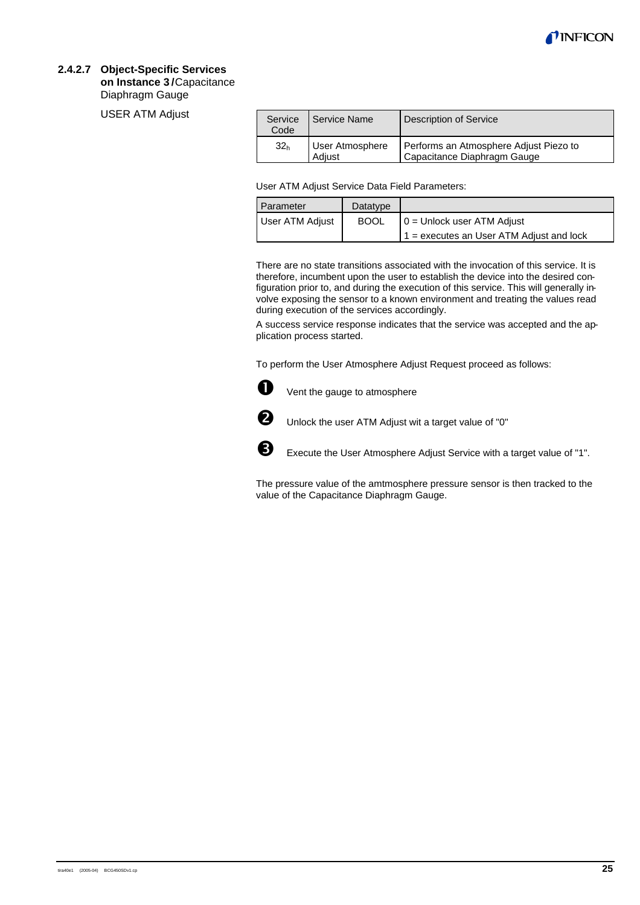

#### **2.4.2.7 Object-Specific Services**

**on Instance 3 /** Capacitance Diaphragm Gauge

USER ATM Adjust

| Service<br>Code | Service Name              | Description of Service                                                |
|-----------------|---------------------------|-----------------------------------------------------------------------|
| 32 <sub>h</sub> | User Atmosphere<br>Adiust | Performs an Atmosphere Adjust Piezo to<br>Capacitance Diaphragm Gauge |

User ATM Adjust Service Data Field Parameters:

| Parameter       | Datatype    |                                            |
|-----------------|-------------|--------------------------------------------|
| User ATM Adjust | <b>BOOL</b> | $0 =$ Unlock user ATM Adjust               |
|                 |             | $1 =$ executes an User ATM Adjust and lock |

There are no state transitions associated with the invocation of this service. It is therefore, incumbent upon the user to establish the device into the desired configuration prior to, and during the execution of this service. This will generally involve exposing the sensor to a known environment and treating the values read during execution of the services accordingly.

A success service response indicates that the service was accepted and the application process started.

To perform the User Atmosphere Adjust Request proceed as follows:



 $\bigoplus$  Vent the gauge to atmosphere



 $\bullet$  Unlock the user ATM Adjust wit a target value of "0"



**B** Execute the User Atmosphere Adjust Service with a target value of "1".

The pressure value of the amtmosphere pressure sensor is then tracked to the value of the Capacitance Diaphragm Gauge.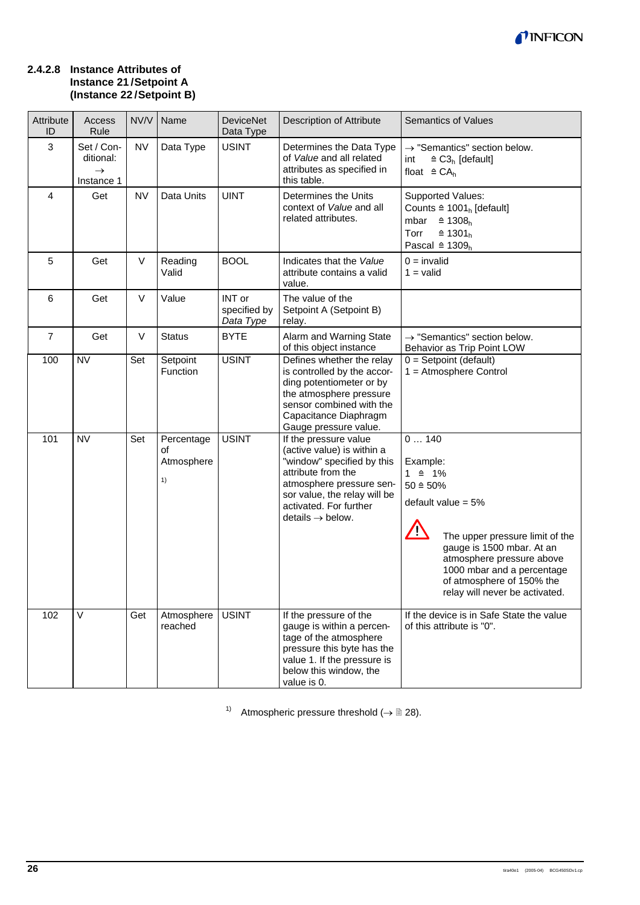

#### **2.4.2.8 Instance Attributes of Instance 21 / Setpoint A (Instance 22 / Setpoint B)**

| Attribute<br>ID | Access<br>Rule                                         | NV/V      | Name                                 | <b>DeviceNet</b><br>Data Type       | Description of Attribute                                                                                                                                                                                                      | <b>Semantics of Values</b>                                                                                                                                                                                                                                                                     |
|-----------------|--------------------------------------------------------|-----------|--------------------------------------|-------------------------------------|-------------------------------------------------------------------------------------------------------------------------------------------------------------------------------------------------------------------------------|------------------------------------------------------------------------------------------------------------------------------------------------------------------------------------------------------------------------------------------------------------------------------------------------|
| $\mathbf{3}$    | Set / Con-<br>ditional:<br>$\rightarrow$<br>Instance 1 | <b>NV</b> | Data Type                            | <b>USINT</b>                        | Determines the Data Type<br>of Value and all related<br>attributes as specified in<br>this table.                                                                                                                             | $\rightarrow$ "Semantics" section below.<br>$\triangleq$ C3 <sub>h</sub> [default]<br>int<br>float $\triangleq$ CA <sub>h</sub>                                                                                                                                                                |
| $\overline{4}$  | Get                                                    | <b>NV</b> | Data Units                           | <b>UINT</b>                         | Determines the Units<br>context of Value and all<br>related attributes.                                                                                                                                                       | Supported Values:<br>Counts $\triangleq$ 1001 <sub>h</sub> [default]<br>mbar<br>$\hat{=}$ 1308 <sub>h</sub><br>$\triangleq$ 1301 <sub>h</sub><br>Torr<br>Pascal $\triangleq$ 1309 <sub>h</sub>                                                                                                 |
| 5               | Get                                                    | V         | Reading<br>Valid                     | <b>BOOL</b>                         | Indicates that the Value<br>attribute contains a valid<br>value.                                                                                                                                                              | $0 =$ invalid<br>$1 =$ valid                                                                                                                                                                                                                                                                   |
| 6               | Get                                                    | V         | Value                                | INT or<br>specified by<br>Data Type | The value of the<br>Setpoint A (Setpoint B)<br>relay.                                                                                                                                                                         |                                                                                                                                                                                                                                                                                                |
| $\overline{7}$  | Get                                                    | V         | <b>Status</b>                        | <b>BYTE</b>                         | Alarm and Warning State<br>of this object instance                                                                                                                                                                            | $\rightarrow$ "Semantics" section below.<br>Behavior as Trip Point LOW                                                                                                                                                                                                                         |
| 100             | <b>NV</b>                                              | Set       | Setpoint<br>Function                 | <b>USINT</b>                        | Defines whether the relay<br>is controlled by the accor-<br>ding potentiometer or by<br>the atmosphere pressure<br>sensor combined with the<br>Capacitance Diaphragm<br>Gauge pressure value.                                 | $0 =$ Setpoint (default)<br>$1 =$ Atmosphere Control                                                                                                                                                                                                                                           |
| 101             | <b>NV</b>                                              | Set       | Percentage<br>οf<br>Atmosphere<br>1) | <b>USINT</b>                        | If the pressure value<br>(active value) is within a<br>"window" specified by this<br>attribute from the<br>atmosphere pressure sen-<br>sor value, the relay will be<br>activated. For further<br>$details \rightarrow below.$ | 0140<br>Example:<br>$1 \triangleq 1\%$<br>$50 \triangleq 50\%$<br>default value = $5%$<br>$\sqrt{2}$<br>The upper pressure limit of the<br>gauge is 1500 mbar. At an<br>atmosphere pressure above<br>1000 mbar and a percentage<br>of atmosphere of 150% the<br>relay will never be activated. |
| 102             | $\vee$                                                 | Get       | Atmosphere<br>reached                | <b>USINT</b>                        | If the pressure of the<br>gauge is within a percen-<br>tage of the atmosphere<br>pressure this byte has the<br>value 1. If the pressure is<br>below this window, the<br>value is 0.                                           | If the device is in Safe State the value<br>of this attribute is "0".                                                                                                                                                                                                                          |

1) Atmospheric pressure threshold  $(\rightarrow \mathbb{B} 28)$ .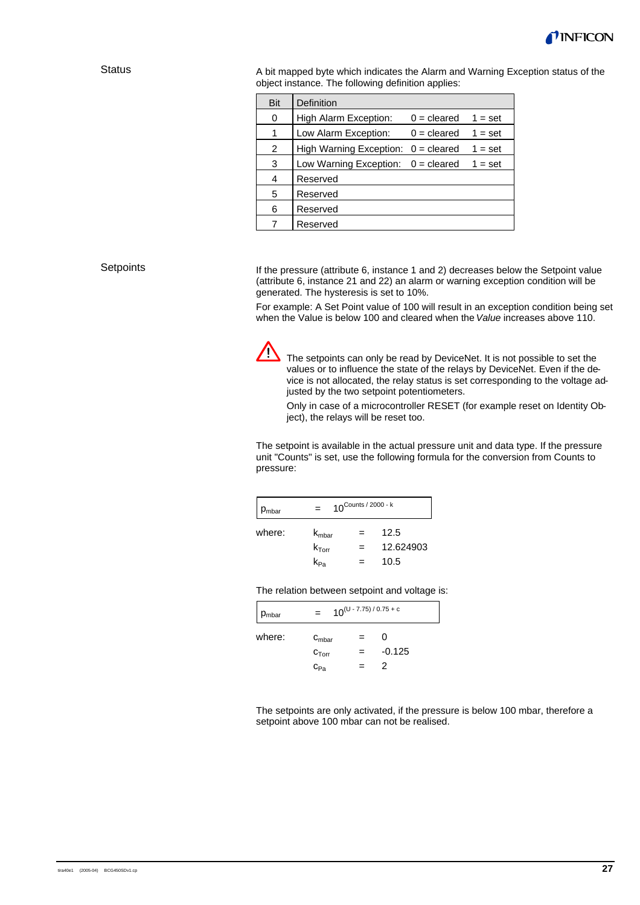

#### **Status**

A bit mapped byte which indicates the Alarm and Warning Exception status of the object instance. The following definition applies:

| Bit | Definition                     |               |           |
|-----|--------------------------------|---------------|-----------|
| 0   | High Alarm Exception:          | $0 =$ cleared | $1 = set$ |
| 1   | Low Alarm Exception:           | $0 =$ cleared | $1 = set$ |
| 2   | <b>High Warning Exception:</b> | $0 =$ cleared | $1 = set$ |
| 3   | Low Warning Exception:         | $0 =$ cleared | $1 = set$ |
| 4   | Reserved                       |               |           |
| 5   | Reserved                       |               |           |
| 6   | Reserved                       |               |           |
|     | Reserved                       |               |           |

#### **Setpoints**

If the pressure (attribute 6, instance 1 and 2) decreases below the Setpoint value (attribute 6, instance 21 and 22) an alarm or warning exception condition will be generated. The hysteresis is set to 10%.

For example: A Set Point value of 100 will result in an exception condition being set when the Value is below 100 and cleared when the *Value* increases above 110.



The setpoints can only be read by DeviceNet. It is not possible to set the<br>The setpoints can only be read by DeviceNet. Fusion is the de values or to influence the state of the relays by DeviceNet. Even if the device is not allocated, the relay status is set corresponding to the voltage adjusted by the two setpoint potentiometers.

Only in case of a microcontroller RESET (for example reset on Identity Object), the relays will be reset too.

The setpoint is available in the actual pressure unit and data type. If the pressure unit "Counts" is set, use the following formula for the conversion from Counts to pressure:

| Pmbar  |                   | $10^{\text{Counds}/2000 - k}$ |           |
|--------|-------------------|-------------------------------|-----------|
| where: | $K_{\rm mbar}$    |                               | 12.5      |
|        | $k_{\text{Torr}}$ |                               | 12.624903 |
|        | Kpa               |                               | 10.5      |

| P <sub>mbar</sub> | $10^{(U - 7.75) / 0.75 + c}$<br>$=$ |  |          |
|-------------------|-------------------------------------|--|----------|
| where:            | $C_{\rm mbar}$                      |  | O        |
|                   | $C_{Torr}$                          |  | $-0.125$ |
|                   | $C_{Pa}$                            |  | 2        |

The relation between setpoint and voltage is:

The setpoints are only activated, if the pressure is below 100 mbar, therefore a setpoint above 100 mbar can not be realised.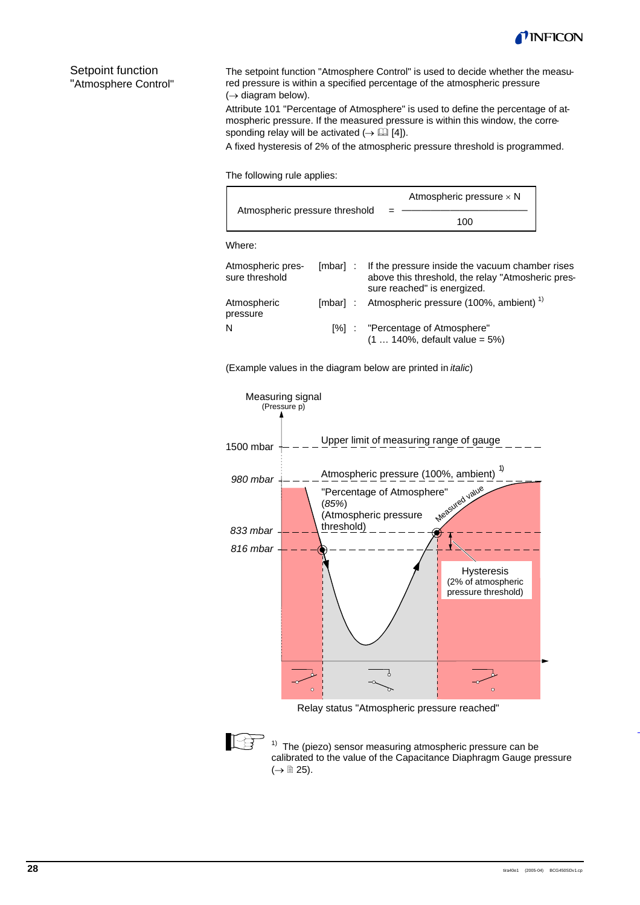

Setpoint function "Atmosphere Control"

The setpoint function "Atmosphere Control" is used to decide whether the measured pressure is within a specified percentage of the atmospheric pressure  $(\rightarrow$  diagram below).

Attribute 101 "Percentage of Atmosphere" is used to define the percentage of atmospheric pressure. If the measured pressure is within this window, the corresponding relay will be activated  $(\rightarrow \Box$  [4]).

A fixed hysteresis of 2% of the atmospheric pressure threshold is programmed.

The following rule applies:

|                                     | Atmospheric pressure $\times$ N                                                                                                              |
|-------------------------------------|----------------------------------------------------------------------------------------------------------------------------------------------|
| Atmospheric pressure threshold      | 100                                                                                                                                          |
| Where:                              |                                                                                                                                              |
| Atmospheric pres-<br>sure threshold | [mbar] : If the pressure inside the vacuum chamber rises<br>above this threshold, the relay "Atmosheric pres-<br>sure reached" is energized. |
| Atmospheric<br>pressure             | [mbar]: Atmospheric pressure (100%, ambient) <sup>1)</sup>                                                                                   |
| N                                   | [%] : "Percentage of Atmosphere"<br>$(1  140\% , default value = 5\%)$                                                                       |

(Example values in the diagram below are printed in *italic*)



Relay status "Atmospheric pressure reached"



 $1)$  The (piezo) sensor measuring atmospheric pressure can be calibrated to the value of the Capacitance Diaphragm Gauge pressure  $(\rightarrow \Box$  25).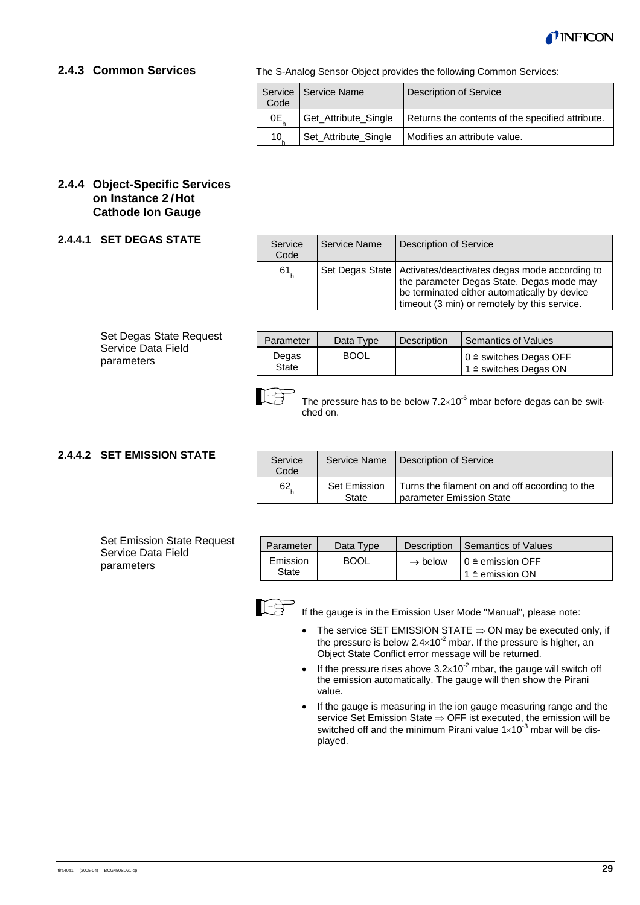

#### **2.4.3 Common Services**

The S-Analog Sensor Object provides the following Common Services:

| Code | Service   Service Name | <b>Description of Service</b>                    |
|------|------------------------|--------------------------------------------------|
| 0E   | Get_Attribute_Single   | Returns the contents of the specified attribute. |
| 10   | Set_Attribute_Single   | Modifies an attribute value.                     |

#### **2.4.4 Object-Specific Services on Instance 2 / Hot Cathode Ion Gauge**

#### **2.4.4.1 SET DEGAS STATE**

| Service<br>Code | Service Name | <b>Description of Service</b>                                                                                                                                                                                |
|-----------------|--------------|--------------------------------------------------------------------------------------------------------------------------------------------------------------------------------------------------------------|
| 61              |              | Set Degas State   Activates/deactivates degas mode according to<br>the parameter Degas State. Degas mode may<br>be terminated either automatically by device<br>timeout (3 min) or remotely by this service. |

#### Set Degas State Request Service Data Field parameters

| Parameter             | Data Type   | <b>Description</b> | Semantics of Values                                                   |
|-----------------------|-------------|--------------------|-----------------------------------------------------------------------|
| Degas<br><b>State</b> | <b>BOOL</b> |                    | $0 \triangleq$ switches Degas OFF<br>$1 \triangleq$ switches Degas ON |



The pressure has to be below  $7.2\times10^{-6}$  mbar before degas can be switched on.

## **2.4.4.2 SET EMISSION STATE**

| <b>Set Emission State Request</b> |
|-----------------------------------|
| Service Data Field                |
| parameters                        |

| Service<br>Code | Service Name          | Description of Service                                                     |
|-----------------|-----------------------|----------------------------------------------------------------------------|
| 62              | Set Emission<br>State | Turns the filament on and off according to the<br>parameter Emission State |

| Parameter         | Data Type   | Description | Semantics of Values                                                              |
|-------------------|-------------|-------------|----------------------------------------------------------------------------------|
| Emission<br>State | <b>BOOL</b> |             | $\rightarrow$ below $\vert 0 \rangle$ emission OFF<br>$1 \triangleq$ emission ON |



If the gauge is in the Emission User Mode "Manual", please note:

- The service SET EMISSION STATE  $\Rightarrow$  ON may be executed only, if the pressure is below  $2.4 \times 10^{-2}$  mbar. If the pressure is higher, an Object State Conflict error message will be returned.
- If the pressure rises above  $3.2 \times 10^{-2}$  mbar, the gauge will switch off the emission automatically. The gauge will then show the Pirani value.
- If the gauge is measuring in the ion gauge measuring range and the service Set Emission State  $\Rightarrow$  OFF ist executed, the emission will be switched off and the minimum Pirani value  $1 \times 10^{-3}$  mbar will be displayed.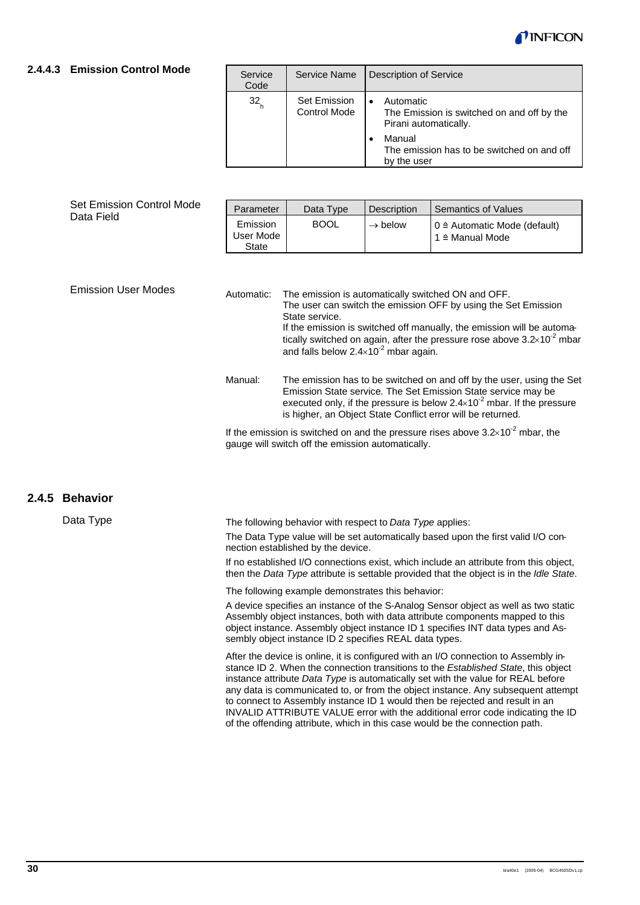

#### **2.4.4.3 Emission Control Mode**

| Service<br>Code   | Service Name                 | <b>Description of Service</b>                                                    |
|-------------------|------------------------------|----------------------------------------------------------------------------------|
| $32$ <sub>h</sub> | Set Emission<br>Control Mode | Automatic<br>The Emission is switched on and off by the<br>Pirani automatically. |
|                   |                              | Manual<br>The emission has to be switched on and off<br>by the user              |

|                                                                                                                                                           | Set Emission Control Mode |                                                                                                                                                 |                                                                                                                                                                                                                                                                                             |                                    | <b>Semantics of Values</b>                                                                                                                                                                                                                                                           |  |  |
|-----------------------------------------------------------------------------------------------------------------------------------------------------------|---------------------------|-------------------------------------------------------------------------------------------------------------------------------------------------|---------------------------------------------------------------------------------------------------------------------------------------------------------------------------------------------------------------------------------------------------------------------------------------------|------------------------------------|--------------------------------------------------------------------------------------------------------------------------------------------------------------------------------------------------------------------------------------------------------------------------------------|--|--|
|                                                                                                                                                           | Data Field                | Parameter<br>Emission<br>User Mode<br><b>State</b>                                                                                              | Data Type<br><b>BOOL</b>                                                                                                                                                                                                                                                                    | Description<br>$\rightarrow$ below | $0 \triangleq$ Automatic Mode (default)<br>1 ≙ Manual Mode                                                                                                                                                                                                                           |  |  |
|                                                                                                                                                           | Emission User Modes       | Automatic:                                                                                                                                      | State service.<br>and falls below $2.4 \times 10^{-2}$ mbar again.                                                                                                                                                                                                                          |                                    | The emission is automatically switched ON and OFF.<br>The user can switch the emission OFF by using the Set Emission<br>If the emission is switched off manually, the emission will be automa-<br>tically switched on again, after the pressure rose above $3.2 \times 10^{-2}$ mbar |  |  |
|                                                                                                                                                           |                           | Manual:                                                                                                                                         | The emission has to be switched on and off by the user, using the Set<br>Emission State service. The Set Emission State service may be<br>executed only, if the pressure is below $2.4 \times 10^{-2}$ mbar. If the pressure<br>is higher, an Object State Conflict error will be returned. |                                    |                                                                                                                                                                                                                                                                                      |  |  |
|                                                                                                                                                           |                           | If the emission is switched on and the pressure rises above $3.2 \times 10^{-2}$ mbar, the<br>gauge will switch off the emission automatically. |                                                                                                                                                                                                                                                                                             |                                    |                                                                                                                                                                                                                                                                                      |  |  |
| 2.4.5                                                                                                                                                     | <b>Behavior</b>           |                                                                                                                                                 |                                                                                                                                                                                                                                                                                             |                                    |                                                                                                                                                                                                                                                                                      |  |  |
| Data Type<br>The following behavior with respect to Data Type applies:<br>The Data Type you evil he set automatically based upon the first yolid I/O con- |                           |                                                                                                                                                 |                                                                                                                                                                                                                                                                                             |                                    |                                                                                                                                                                                                                                                                                      |  |  |

The Data Type value will be set automatically based upon the first valid I/O connection established by the device.

If no established I/O connections exist, which include an attribute from this object, then the *Data Type* attribute is settable provided that the object is in the *Idle State*.

The following example demonstrates this behavior:

A device specifies an instance of the S-Analog Sensor object as well as two static Assembly object instances, both with data attribute components mapped to this object instance. Assembly object instance ID 1 specifies INT data types and Assembly object instance ID 2 specifies REAL data types.

After the device is online, it is configured with an I/O connection to Assembly instance ID 2. When the connection transitions to the *Established State*, this object instance attribute *Data Type* is automatically set with the value for REAL before any data is communicated to, or from the object instance. Any subsequent attempt to connect to Assembly instance ID 1 would then be rejected and result in an INVALID ATTRIBUTE VALUE error with the additional error code indicating the ID of the offending attribute, which in this case would be the connection path.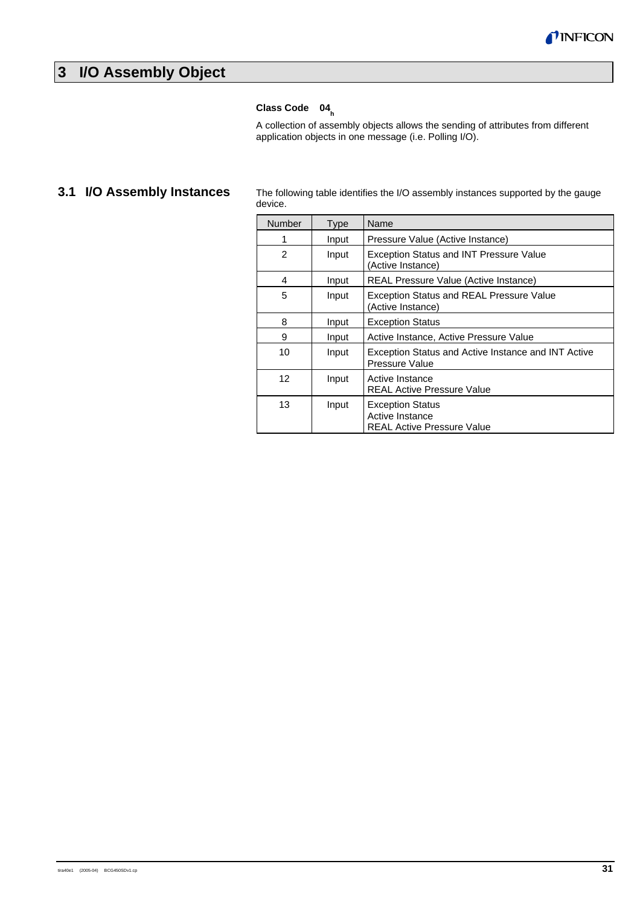

## **3 I/O Assembly Object**

## Class Code 04<sub>h</sub>

A collection of assembly objects allows the sending of attributes from different application objects in one message (i.e. Polling I/O).

## **3.1 I/O Assembly Instances**

The following table identifies the I/O assembly instances supported by the gauge device.

| Number | <b>Type</b> | Name                                                                            |
|--------|-------------|---------------------------------------------------------------------------------|
|        | Input       | Pressure Value (Active Instance)                                                |
| 2      | Input       | Exception Status and INT Pressure Value<br>(Active Instance)                    |
| 4      | Input       | REAL Pressure Value (Active Instance)                                           |
| 5      | Input       | <b>Exception Status and REAL Pressure Value</b><br>(Active Instance)            |
| 8      | Input       | <b>Exception Status</b>                                                         |
| 9      | Input       | Active Instance, Active Pressure Value                                          |
| 10     | Input       | Exception Status and Active Instance and INT Active<br>Pressure Value           |
| 12     | Input       | Active Instance<br><b>REAL Active Pressure Value</b>                            |
| 13     | Input       | <b>Exception Status</b><br>Active Instance<br><b>REAL Active Pressure Value</b> |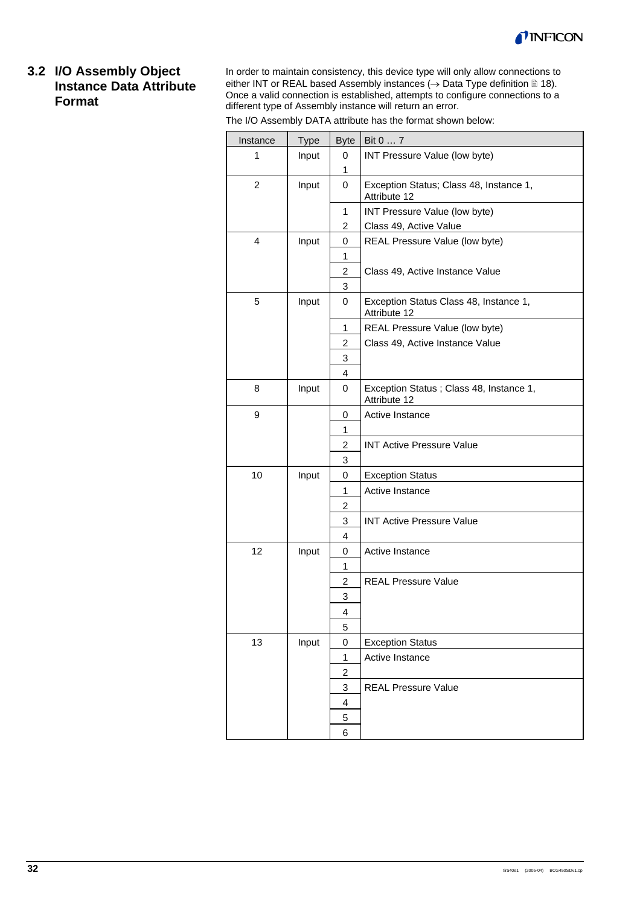

## **3.2 I/O Assembly Object Instance Data Attribute Format**

In order to maintain consistency, this device type will only allow connections to either INT or REAL based Assembly instances ( $\rightarrow$  Data Type definition  $\cong$  18). Once a valid connection is established, attempts to configure connections to a different type of Assembly instance will return an error.

| The I/O Assembly DATA attribute has the format shown below: |  |  |
|-------------------------------------------------------------|--|--|
|-------------------------------------------------------------|--|--|

| Instance       | Type  | <b>Byte</b>             | Bit 0  7                                                 |
|----------------|-------|-------------------------|----------------------------------------------------------|
| 1              | Input | 0                       | INT Pressure Value (low byte)                            |
|                |       | 1                       |                                                          |
| $\overline{c}$ | Input | $\mathbf 0$             | Exception Status; Class 48, Instance 1,<br>Attribute 12  |
|                |       | $\mathbf{1}$            | INT Pressure Value (low byte)                            |
|                |       | $\overline{2}$          | Class 49, Active Value                                   |
| 4              | Input | 0                       | REAL Pressure Value (low byte)                           |
|                |       | 1                       |                                                          |
|                |       | $\overline{2}$          | Class 49, Active Instance Value                          |
|                |       | 3                       |                                                          |
| 5              | Input | $\mathbf 0$             | Exception Status Class 48, Instance 1,<br>Attribute 12   |
|                |       | 1                       | REAL Pressure Value (low byte)                           |
|                |       | $\overline{2}$          | Class 49, Active Instance Value                          |
|                |       | 3                       |                                                          |
|                |       | 4                       |                                                          |
| 8              | Input | 0                       | Exception Status ; Class 48, Instance 1,<br>Attribute 12 |
| 9              |       | 0                       | Active Instance                                          |
|                |       | 1                       |                                                          |
|                |       | $\overline{c}$          | <b>INT Active Pressure Value</b>                         |
|                |       | 3                       |                                                          |
| 10             | Input | 0                       | <b>Exception Status</b>                                  |
|                |       | $\mathbf{1}$            | Active Instance                                          |
|                |       | 2                       |                                                          |
|                |       | 3                       | <b>INT Active Pressure Value</b>                         |
|                |       | 4                       |                                                          |
| 12             | Input | 0                       | Active Instance                                          |
|                |       | $\mathbf{1}$            |                                                          |
|                |       | $\overline{2}$          | <b>REAL Pressure Value</b>                               |
|                |       | 3                       |                                                          |
|                |       | 4                       |                                                          |
|                |       | 5                       |                                                          |
| 13             | Input | 0                       | <b>Exception Status</b>                                  |
|                |       | 1                       | Active Instance                                          |
|                |       | $\overline{\mathbf{c}}$ |                                                          |
|                |       | 3                       | <b>REAL Pressure Value</b>                               |
|                |       | 4                       |                                                          |
|                |       | 5                       |                                                          |
|                |       | 6                       |                                                          |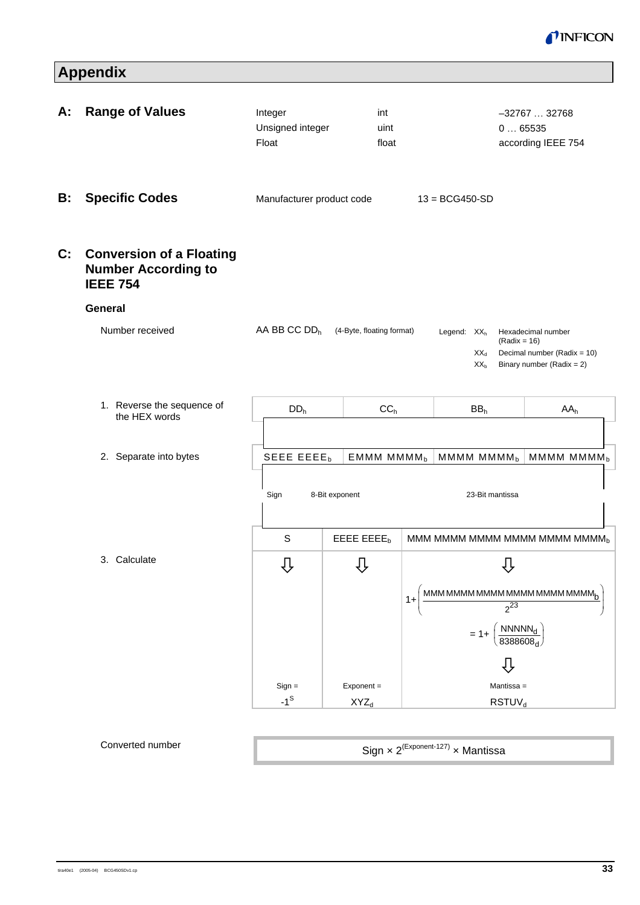

# **Appendix**

| Hexadecimal number<br>$(Radix = 16)$                        |
|-------------------------------------------------------------|
|                                                             |
|                                                             |
|                                                             |
| Decimal number (Radix = 10)<br>Binary number (Radix = $2$ ) |
| AA <sub>h</sub>                                             |
|                                                             |
| MMMM MMMM <sub>b</sub><br>MMMM MMMM <sub>b</sub>            |
| 23-Bit mantissa                                             |
| MMM MMMM MMMM MMMM MMMMM <sub>b</sub>                       |
|                                                             |
| MMM MMMM MMMM MMMM MMMMMMMM                                 |
| $\frac{1}{2^{23}}$                                          |
|                                                             |
| $= 1 + \left(\frac{\text{NNNNN}_d}{8388608_d}\right)$       |
| ⇩                                                           |
| Mantissa =                                                  |
|                                                             |

#### Converted number

Sign x 2<sup>(Exponent-127)</sup> x Mantissa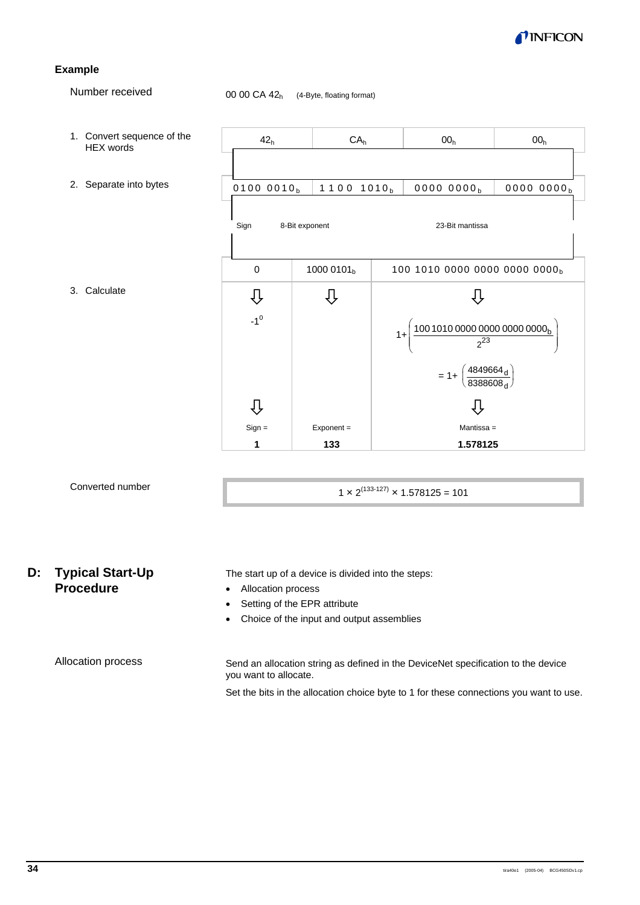

#### **Example**

Number received

00 00 CA 42<sub>h</sub> (4-Byte, floating format)



## Converted number

1  $\times$  2<sup>(133-127)</sup>  $\times$  1.578125 = 101

## **D: Typical Start-Up Procedure**

The start up of a device is divided into the steps:

- Allocation process
- Setting of the EPR attribute
- Choice of the input and output assemblies

Allocation process

Send an allocation string as defined in the DeviceNet specification to the device you want to allocate.

Set the bits in the allocation choice byte to 1 for these connections you want to use.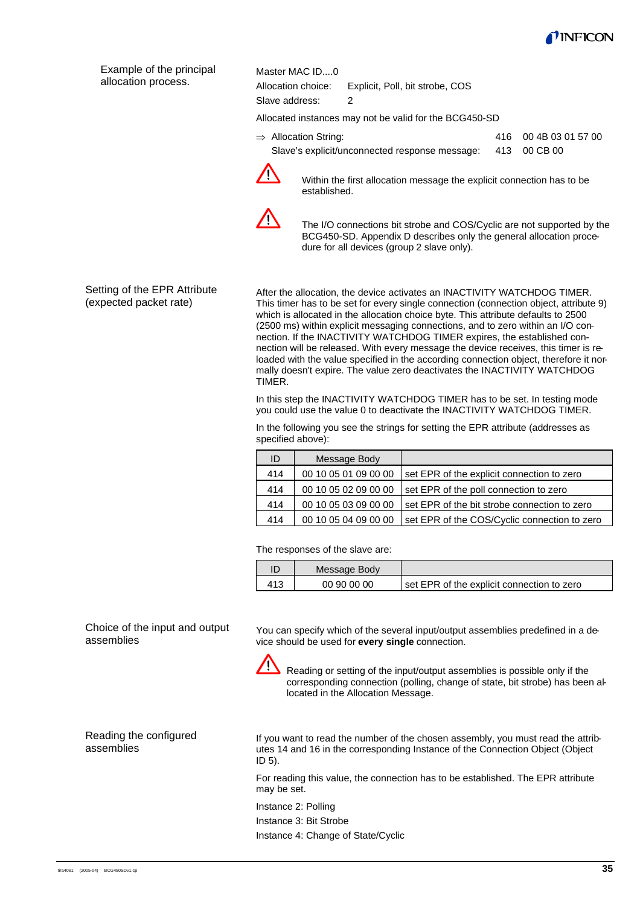

| Example of the principal<br>allocation process. | Master MAC ID0<br>Allocation choice:<br>Slave address: | Explicit, Poll, bit strobe, COS<br>2                                         |     |                   |  |  |  |
|-------------------------------------------------|--------------------------------------------------------|------------------------------------------------------------------------------|-----|-------------------|--|--|--|
|                                                 |                                                        | Allocated instances may not be valid for the BCG450-SD                       |     |                   |  |  |  |
|                                                 | $\Rightarrow$ Allocation String:                       |                                                                              | 416 | 00 4B 03 01 57 00 |  |  |  |
|                                                 |                                                        | Slave's explicit/unconnected response message:                               | 413 | 00 CB 00          |  |  |  |
|                                                 |                                                        | Matches the Cost ellipsetted as a service the complete composition has to be |     |                   |  |  |  |



Within the first allocation message the explicit connection has to be established.



The I/O connections bit strobe and COS/Cyclic are not supported by the BCG450-SD. Appendix D describes only the general allocation procedure for all devices (group 2 slave only).

Setting of the EPR Attribute (expected packet rate)

After the allocation, the device activates an INACTIVITY WATCHDOG TIMER. This timer has to be set for every single connection (connection object, attribute 9) which is allocated in the allocation choice byte. This attribute defaults to 2500 (2500 ms) within explicit messaging connections, and to zero within an I/O connection. If the INACTIVITY WATCHDOG TIMER expires, the established connection will be released. With every message the device receives, this timer is reloaded with the value specified in the according connection object, therefore it normally doesn't expire. The value zero deactivates the INACTIVITY WATCHDOG TIMER.

In this step the INACTIVITY WATCHDOG TIMER has to be set. In testing mode you could use the value 0 to deactivate the INACTIVITY WATCHDOG TIMER.

In the following you see the strings for setting the EPR attribute (addresses as specified above):

| ID  | Message Body         |                                              |
|-----|----------------------|----------------------------------------------|
| 414 | 00 10 05 01 09 00 00 | set EPR of the explicit connection to zero   |
| 414 | 00 10 05 02 09 00 00 | set EPR of the poll connection to zero       |
| 414 | 00 10 05 03 09 00 00 | set EPR of the bit strobe connection to zero |
| 414 | 00 10 05 04 09 00 00 | set EPR of the COS/Cyclic connection to zero |

The responses of the slave are:

|     | Message Body |                                            |
|-----|--------------|--------------------------------------------|
| 413 | 00 90 00 00  | set EPR of the explicit connection to zero |

Choice of the input and output assemblies

You can specify which of the several input/output assemblies predefined in a device should be used for **every single** connection.



Reading or setting of the input/output assemblies is possible only if the corresponding connection (polling, change of state, bit strobe) has been allocated in the Allocation Message.

Reading the configured assemblies

If you want to read the number of the chosen assembly, you must read the attributes 14 and 16 in the corresponding Instance of the Connection Object (Object ID 5).

For reading this value, the connection has to be established. The EPR attribute may be set.

Instance 2: Polling

Instance 3: Bit Strobe

Instance 4: Change of State/Cyclic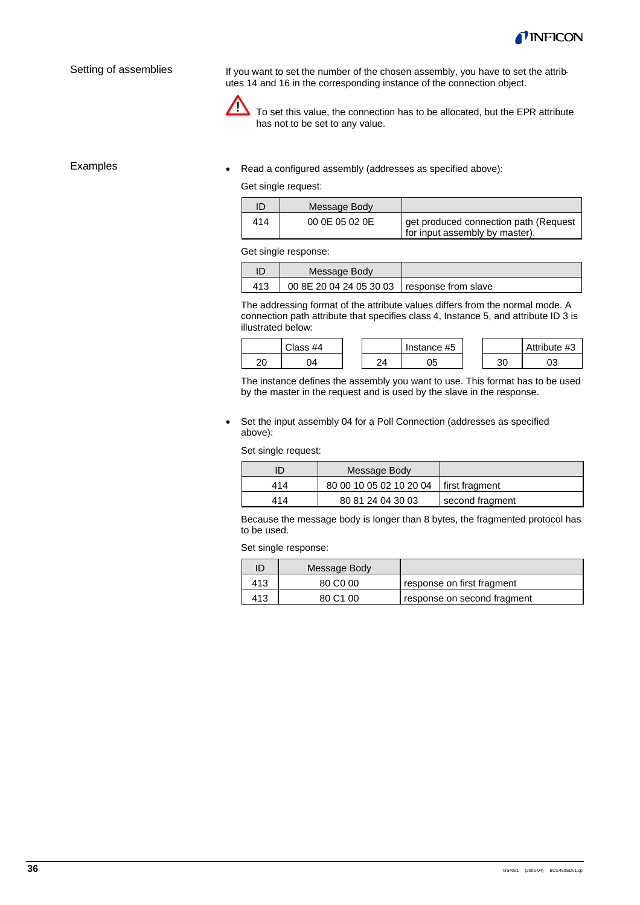

#### Setting of assemblies

If you want to set the number of the chosen assembly, you have to set the attributes 14 and 16 in the corresponding instance of the connection object.



 $\sum$  To set this value, the connection has to be allocated, but the EPR attribute has not to be set to any value.

#### Examples

• Read a configured assembly (addresses as specified above):

Get single request:

| ID  | Message Body   |                                                                         |
|-----|----------------|-------------------------------------------------------------------------|
| 414 | 00 0E 05 02 0E | get produced connection path (Request<br>for input assembly by master). |

Get single response:

| Message Body                                  |  |
|-----------------------------------------------|--|
| 00 8E 20 04 24 05 30 03   response from slave |  |

The addressing format of the attribute values differs from the normal mode. A connection path attribute that specifies class 4, Instance 5, and attribute ID 3 is illustrated below:

|          | Class #4 |    | Instance #5 |    | Attribute #3 |
|----------|----------|----|-------------|----|--------------|
| า∩<br>۷J | )4       | 2Δ | 05          | 30 | υJ           |

The instance defines the assembly you want to use. This format has to be used by the master in the request and is used by the slave in the response.

• Set the input assembly 04 for a Poll Connection (addresses as specified above):

Set single request:

|     | Message Body                             |                 |
|-----|------------------------------------------|-----------------|
| 414 | 80 00 10 05 02 10 20 04   first fragment |                 |
| 414 | 80 81 24 04 30 03                        | second fragment |

Because the message body is longer than 8 bytes, the fragmented protocol has to be used.

Set single response:

| ID  | Message Body         |                             |
|-----|----------------------|-----------------------------|
| 413 | 80 C <sub>0</sub> 00 | response on first fragment  |
| 413 | 80 C1 00             | response on second fragment |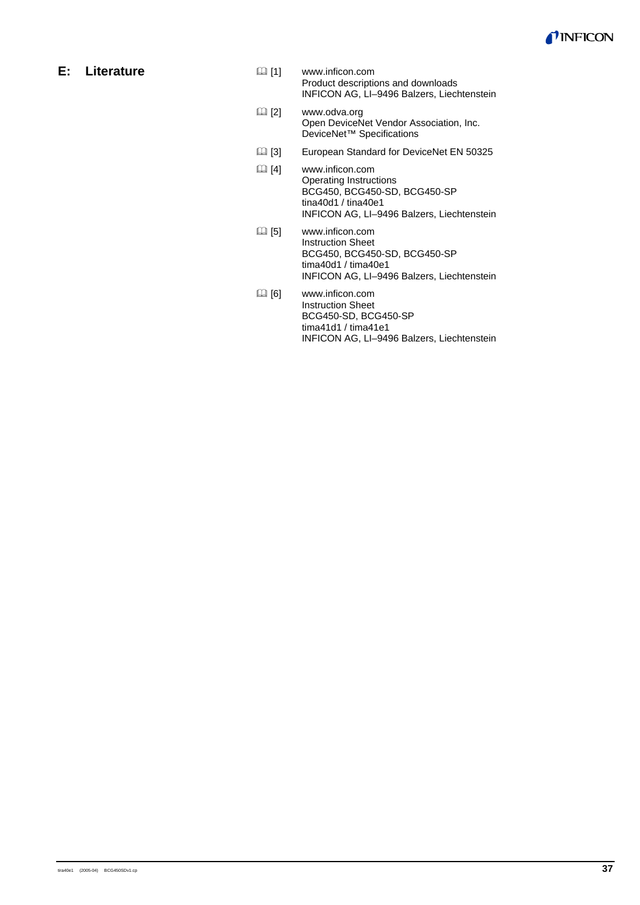

## **E: Literature**

- [1] www.inficon.com Product descriptions and downloads INFICON AG, LI–9496 Balzers, Liechtenstein
- [2] www.odva.org Open DeviceNet Vendor Association, Inc. DeviceNet<sup>™</sup> Specifications
- [3] European Standard for DeviceNet EN 50325
- [4] www.inficon.com Operating Instructions BCG450, BCG450-SD, BCG450-SP tina40d1 / tina40e1 INFICON AG, LI–9496 Balzers, Liechtenstein
- [5] www.inficon.com Instruction Sheet BCG450, BCG450-SD, BCG450-SP tima40d1 / tima40e1 INFICON AG, LI–9496 Balzers, Liechtenstein
- [6] www.inficon.com Instruction Sheet BCG450-SD, BCG450-SP tima41d1 / tima41e1 INFICON AG, LI–9496 Balzers, Liechtenstein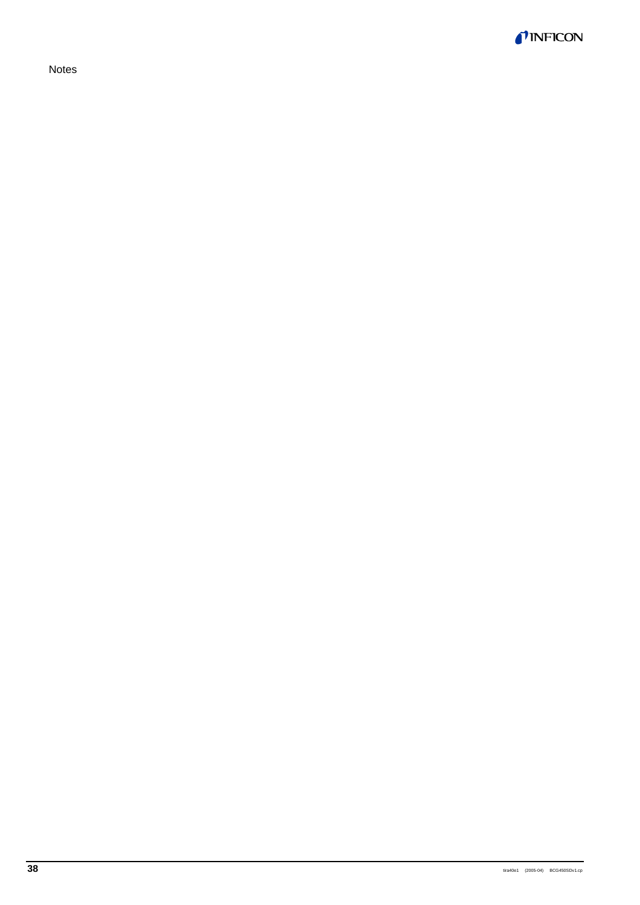*TINFICON* 

Notes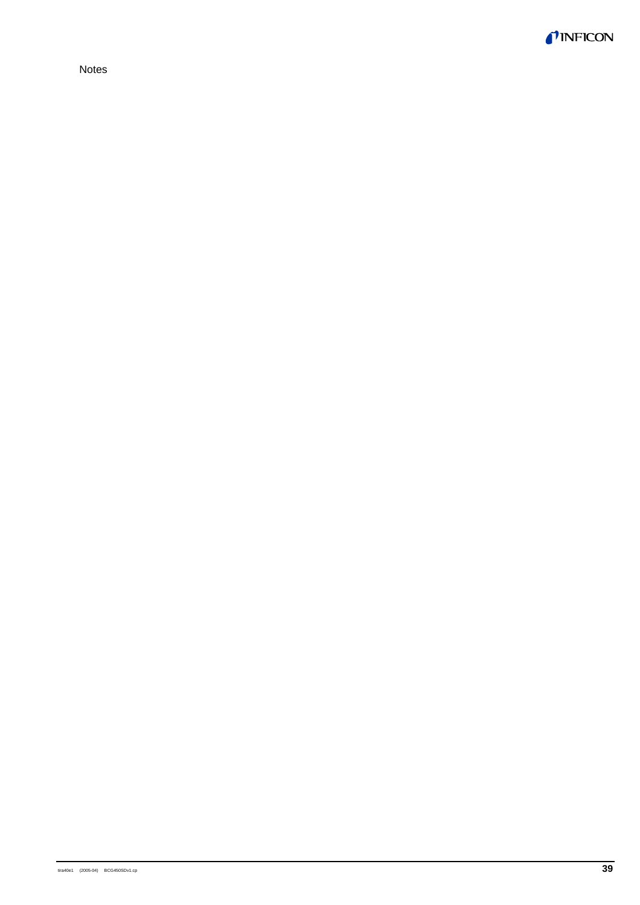

Notes